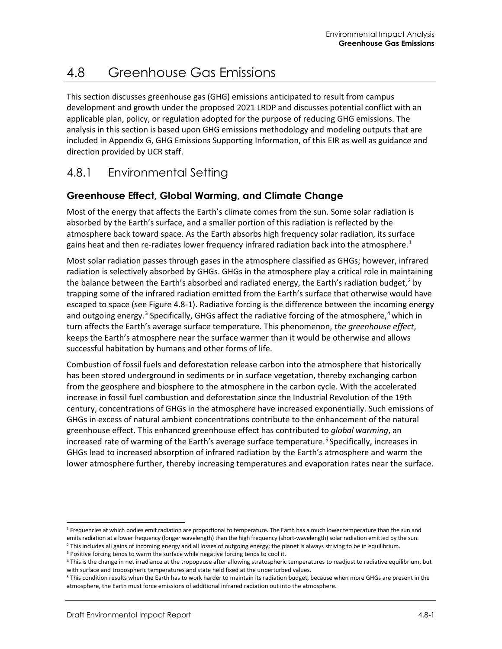# 4.8 Greenhouse Gas Emissions

This section discusses greenhouse gas (GHG) emissions anticipated to result from campus development and growth under the proposed 2021 LRDP and discusses potential conflict with an applicable plan, policy, or regulation adopted for the purpose of reducing GHG emissions. The analysis in this section is based upon GHG emissions methodology and modeling outputs that are included in Appendix G, GHG Emissions Supporting Information, of this EIR as well as guidance and direction provided by UCR staff.

# 4.8.1 Environmental Setting

### **Greenhouse Effect, Global Warming, and Climate Change**

Most of the energy that affects the Earth's climate comes from the sun. Some solar radiation is absorbed by the Earth's surface, and a smaller portion of this radiation is reflected by the atmosphere back toward space. As the Earth absorbs high frequency solar radiation, its surface gains heat and then re-radiates lower frequency infrared radiation back into the atmosphere.<sup>[1](#page-0-0)</sup>

Most solar radiation passes through gases in the atmosphere classified as GHGs; however, infrared radiation is selectively absorbed by GHGs. GHGs in the atmosphere play a critical role in maintaining the balance between the Earth's absorbed and radiated energy, the Earth's radiation budget,<sup>[2](#page-0-1)</sup> by trapping some of the infrared radiation emitted from the Earth's surface that otherwise would have escaped to space (see [Figure 4.8-1\)](#page-1-0). Radiative forcing is the difference between the incoming energy and outgoing energy.<sup>[3](#page-0-2)</sup> Specifically, GHGs affect the radiative forcing of the atmosphere,<sup>[4](#page-0-3)</sup> which in turn affects the Earth's average surface temperature. This phenomenon, *the greenhouse effect*, keeps the Earth's atmosphere near the surface warmer than it would be otherwise and allows successful habitation by humans and other forms of life.

Combustion of fossil fuels and deforestation release carbon into the atmosphere that historically has been stored underground in sediments or in surface vegetation, thereby exchanging carbon from the geosphere and biosphere to the atmosphere in the carbon cycle. With the accelerated increase in fossil fuel combustion and deforestation since the Industrial Revolution of the 19th century, concentrations of GHGs in the atmosphere have increased exponentially. Such emissions of GHGs in excess of natural ambient concentrations contribute to the enhancement of the natural greenhouse effect. This enhanced greenhouse effect has contributed to *global warming*, an increased rate of warming of the Earth's average surface temperature.<sup>[5](#page-0-4)</sup> Specifically, increases in GHGs lead to increased absorption of infrared radiation by the Earth's atmosphere and warm the lower atmosphere further, thereby increasing temperatures and evaporation rates near the surface.

<span id="page-0-0"></span><sup>&</sup>lt;sup>1</sup> Frequencies at which bodies emit radiation are proportional to temperature. The Earth has a much lower temperature than the sun and emits radiation at a lower frequency (longer wavelength) than the high frequency (short-wavelength) solar radiation emitted by the sun.

<span id="page-0-1"></span><sup>&</sup>lt;sup>2</sup> This includes all gains of incoming energy and all losses of outgoing energy; the planet is always striving to be in equilibrium.

<span id="page-0-2"></span><sup>&</sup>lt;sup>3</sup> Positive forcing tends to warm the surface while negative forcing tends to cool it.

<span id="page-0-3"></span><sup>4</sup> This is the change in net irradiance at the tropopause after allowing stratospheric temperatures to readjust to radiative equilibrium, but with surface and tropospheric temperatures and state held fixed at the unperturbed values.

<span id="page-0-4"></span><sup>5</sup> This condition results when the Earth has to work harder to maintain its radiation budget, because when more GHGs are present in the atmosphere, the Earth must force emissions of additional infrared radiation out into the atmosphere.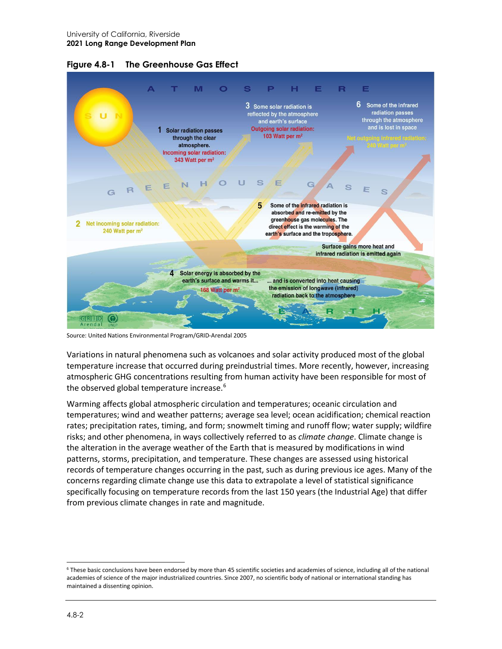

<span id="page-1-0"></span>**Figure 4.8-1 The Greenhouse Gas Effect**

Source: United Nations Environmental Program/GRID-Arendal 2005

Variations in natural phenomena such as volcanoes and solar activity produced most of the global temperature increase that occurred during preindustrial times. More recently, however, increasing atmospheric GHG concentrations resulting from human activity have been responsible for most of the observed global temperature increase.<sup>6</sup>

Warming affects global atmospheric circulation and temperatures; oceanic circulation and temperatures; wind and weather patterns; average sea level; ocean acidification; chemical reaction rates; precipitation rates, timing, and form; snowmelt timing and runoff flow; water supply; wildfire risks; and other phenomena, in ways collectively referred to as *climate change*. Climate change is the alteration in the average weather of the Earth that is measured by modifications in wind patterns, storms, precipitation, and temperature. These changes are assessed using historical records of temperature changes occurring in the past, such as during previous ice ages. Many of the concerns regarding climate change use this data to extrapolate a level of statistical significance specifically focusing on temperature records from the last 150 years (the Industrial Age) that differ from previous climate changes in rate and magnitude.

<span id="page-1-1"></span><sup>6</sup> These basic conclusions have been endorsed by more than 45 scientific societies and academies of science, including all of the national academies of science of the major industrialized countries. Since 2007, no scientific body of national or international standing has maintained a dissenting opinion.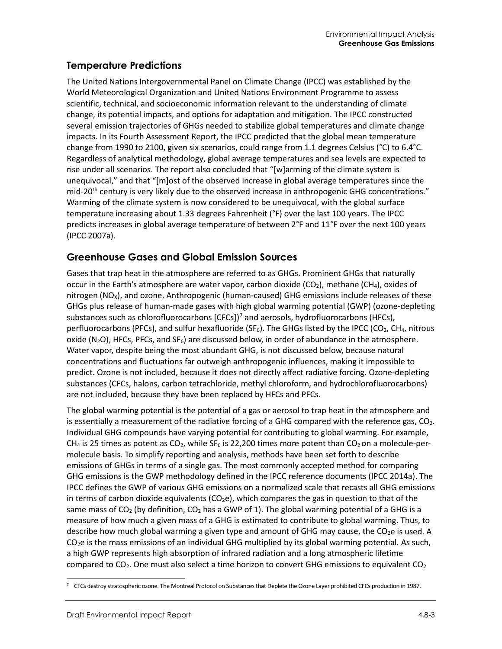### **Temperature Predictions**

The United Nations Intergovernmental Panel on Climate Change (IPCC) was established by the World Meteorological Organization and United Nations Environment Programme to assess scientific, technical, and socioeconomic information relevant to the understanding of climate change, its potential impacts, and options for adaptation and mitigation. The IPCC constructed several emission trajectories of GHGs needed to stabilize global temperatures and climate change impacts. In its Fourth Assessment Report, the IPCC predicted that the global mean temperature change from 1990 to 2100, given six scenarios, could range from 1.1 degrees Celsius (°C) to 6.4°C. Regardless of analytical methodology, global average temperatures and sea levels are expected to rise under all scenarios. The report also concluded that "[w]arming of the climate system is unequivocal," and that "[m]ost of the observed increase in global average temperatures since the mid-20<sup>th</sup> century is very likely due to the observed increase in anthropogenic GHG concentrations." Warming of the climate system is now considered to be unequivocal, with the global surface temperature increasing about 1.33 degrees Fahrenheit (°F) over the last 100 years. The IPCC predicts increases in global average temperature of between 2°F and 11°F over the next 100 years (IPCC 2007a).

### **Greenhouse Gases and Global Emission Sources**

Gases that trap heat in the atmosphere are referred to as GHGs. Prominent GHGs that naturally occur in the Earth's atmosphere are water vapor, carbon dioxide (CO<sub>2</sub>), methane (CH<sub>4</sub>), oxides of nitrogen (NO<sub>x</sub>), and ozone. Anthropogenic (human-caused) GHG emissions include releases of these GHGs plus release of human-made gases with high global warming potential (GWP) (ozone-depleting substances such as chlorofluorocarbons  $[CFCs]$ <sup>[7](#page-2-0)</sup> and aerosols, hydrofluorocarbons (HFCs), perfluorocarbons (PFCs), and sulfur hexafluoride (SF $_6$ ). The GHGs listed by the IPCC (CO<sub>2</sub>, CH<sub>4</sub>, nitrous oxide ( $N_2$ O), HFCs, PFCs, and  $SF_6$ ) are discussed below, in order of abundance in the atmosphere. Water vapor, despite being the most abundant GHG, is not discussed below, because natural concentrations and fluctuations far outweigh anthropogenic influences, making it impossible to predict. Ozone is not included, because it does not directly affect radiative forcing. Ozone-depleting substances (CFCs, halons, carbon tetrachloride, methyl chloroform, and hydrochlorofluorocarbons) are not included, because they have been replaced by HFCs and PFCs.

The global warming potential is the potential of a gas or aerosol to trap heat in the atmosphere and is essentially a measurement of the radiative forcing of a GHG compared with the reference gas,  $CO<sub>2</sub>$ . Individual GHG compounds have varying potential for contributing to global warming. For example, CH<sub>4</sub> is 25 times as potent as CO<sub>2</sub>, while SF<sub>6</sub> is 22,200 times more potent than CO<sub>2</sub> on a molecule-permolecule basis. To simplify reporting and analysis, methods have been set forth to describe emissions of GHGs in terms of a single gas. The most commonly accepted method for comparing GHG emissions is the GWP methodology defined in the IPCC reference documents (IPCC 2014a). The IPCC defines the GWP of various GHG emissions on a normalized scale that recasts all GHG emissions in terms of carbon dioxide equivalents ( $CO<sub>2</sub>e$ ), which compares the gas in question to that of the same mass of CO<sub>2</sub> (by definition, CO<sub>2</sub> has a GWP of 1). The global warming potential of a GHG is a measure of how much a given mass of a GHG is estimated to contribute to global warming. Thus, to describe how much global warming a given type and amount of GHG may cause, the CO<sub>2</sub>e is used. A  $CO<sub>2</sub>e$  is the mass emissions of an individual GHG multiplied by its global warming potential. As such, a high GWP represents high absorption of infrared radiation and a long atmospheric lifetime compared to  $CO<sub>2</sub>$ . One must also select a time horizon to convert GHG emissions to equivalent  $CO<sub>2</sub>$ 

<span id="page-2-0"></span><sup>7</sup> CFCs destroy stratospheric ozone. The Montreal Protocol on Substances that Deplete the Ozone Layer prohibited CFCs production in 1987.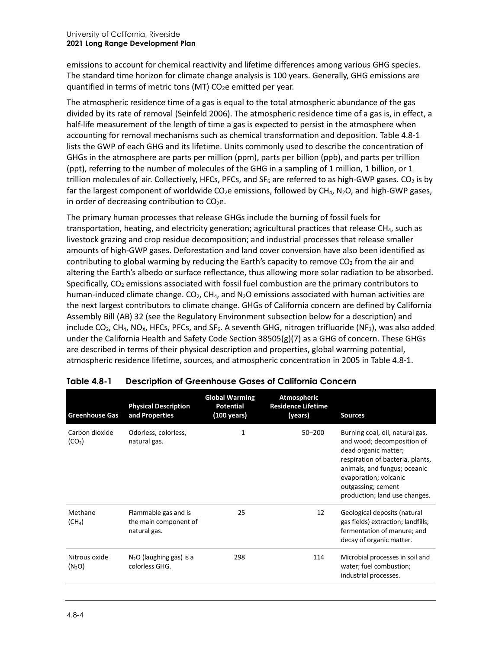emissions to account for chemical reactivity and lifetime differences among various GHG species. The standard time horizon for climate change analysis is 100 years. Generally, GHG emissions are quantified in terms of metric tons (MT)  $CO<sub>2</sub>e$  emitted per year.

The atmospheric residence time of a gas is equal to the total atmospheric abundance of the gas divided by its rate of removal (Seinfeld 2006). The atmospheric residence time of a gas is, in effect, a half-life measurement of the length of time a gas is expected to persist in the atmosphere when accounting for removal mechanisms such as chemical transformation and deposition. [Table 4.8-1](#page-3-0) lists the GWP of each GHG and its lifetime. Units commonly used to describe the concentration of GHGs in the atmosphere are parts per million (ppm), parts per billion (ppb), and parts per trillion (ppt), referring to the number of molecules of the GHG in a sampling of 1 million, 1 billion, or 1 trillion molecules of air. Collectively, HFCs, PFCs, and  $SF_6$  are referred to as high-GWP gases. CO<sub>2</sub> is by far the largest component of worldwide  $CO<sub>2</sub>e$  emissions, followed by  $CH<sub>4</sub>$ , N<sub>2</sub>O, and high-GWP gases, in order of decreasing contribution to  $CO<sub>2</sub>e$ .

The primary human processes that release GHGs include the burning of fossil fuels for transportation, heating, and electricity generation; agricultural practices that release CH<sub>4</sub>, such as livestock grazing and crop residue decomposition; and industrial processes that release smaller amounts of high-GWP gases. Deforestation and land cover conversion have also been identified as contributing to global warming by reducing the Earth's capacity to remove  $CO<sub>2</sub>$  from the air and altering the Earth's albedo or surface reflectance, thus allowing more solar radiation to be absorbed. Specifically,  $CO<sub>2</sub>$  emissions associated with fossil fuel combustion are the primary contributors to human-induced climate change.  $CO<sub>2</sub>$ , CH<sub>4</sub>, and N<sub>2</sub>O emissions associated with human activities are the next largest contributors to climate change. GHGs of California concern are defined by California Assembly Bill (AB) 32 (see the Regulatory Environment subsection below for a description) and include CO<sub>2</sub>, CH<sub>4</sub>, NO<sub>x</sub>, HFCs, PFCs, and SF<sub>6</sub>. A seventh GHG, nitrogen trifluoride (NF<sub>3</sub>), was also added under the California Health and Safety Code Section 38505(g)(7) as a GHG of concern. These GHGs are described in terms of their physical description and properties, global warming potential, atmospheric residence lifetime, sources, and atmospheric concentration in 2005 in [Table 4.8-1.](#page-3-0)

| <b>Greenhouse Gas</b>                | <b>Physical Description</b><br>and Properties                 | <b>Global Warming</b><br><b>Potential</b><br>$(100 \text{ years})$ | <b>Atmospheric</b><br><b>Residence Lifetime</b><br>(years) | <b>Sources</b>                                                                                                                                                                                                                            |
|--------------------------------------|---------------------------------------------------------------|--------------------------------------------------------------------|------------------------------------------------------------|-------------------------------------------------------------------------------------------------------------------------------------------------------------------------------------------------------------------------------------------|
| Carbon dioxide<br>(CO <sub>2</sub> ) | Odorless, colorless,<br>natural gas.                          | 1                                                                  | $50 - 200$                                                 | Burning coal, oil, natural gas,<br>and wood; decomposition of<br>dead organic matter;<br>respiration of bacteria, plants,<br>animals, and fungus; oceanic<br>evaporation; volcanic<br>outgassing; cement<br>production; land use changes. |
| Methane<br>(CH <sub>4</sub> )        | Flammable gas and is<br>the main component of<br>natural gas. | 25                                                                 | 12                                                         | Geological deposits (natural<br>gas fields) extraction; landfills;<br>fermentation of manure; and<br>decay of organic matter.                                                                                                             |
| Nitrous oxide<br>(N <sub>2</sub> O)  | $N2O$ (laughing gas) is a<br>colorless GHG.                   | 298                                                                | 114                                                        | Microbial processes in soil and<br>water; fuel combustion;<br>industrial processes.                                                                                                                                                       |

## <span id="page-3-0"></span>**Table 4.8-1 Description of Greenhouse Gases of California Concern**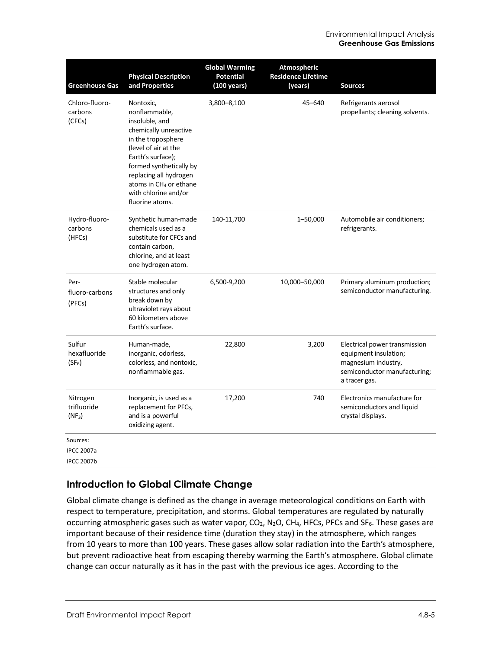| <b>Greenhouse Gas</b>                              | <b>Physical Description</b><br>and Properties                                                                                                                                                                                                                                  | <b>Global Warming</b><br><b>Potential</b><br>(100 years) | <b>Atmospheric</b><br><b>Residence Lifetime</b><br>(years) | <b>Sources</b>                                                                                                                 |
|----------------------------------------------------|--------------------------------------------------------------------------------------------------------------------------------------------------------------------------------------------------------------------------------------------------------------------------------|----------------------------------------------------------|------------------------------------------------------------|--------------------------------------------------------------------------------------------------------------------------------|
| Chloro-fluoro-<br>carbons<br>(CFCs)                | Nontoxic,<br>nonflammable,<br>insoluble, and<br>chemically unreactive<br>in the troposphere<br>(level of air at the<br>Earth's surface);<br>formed synthetically by<br>replacing all hydrogen<br>atoms in CH <sub>4</sub> or ethane<br>with chlorine and/or<br>fluorine atoms. | 3,800-8,100                                              | $45 - 640$                                                 | Refrigerants aerosol<br>propellants; cleaning solvents.                                                                        |
| Hydro-fluoro-<br>carbons<br>(HFCs)                 | Synthetic human-made<br>chemicals used as a<br>substitute for CFCs and<br>contain carbon,<br>chlorine, and at least<br>one hydrogen atom.                                                                                                                                      | 140-11,700                                               | 1-50,000                                                   | Automobile air conditioners;<br>refrigerants.                                                                                  |
| Per-<br>fluoro-carbons<br>(PFCs)                   | Stable molecular<br>structures and only<br>break down by<br>ultraviolet rays about<br>60 kilometers above<br>Earth's surface.                                                                                                                                                  | 6,500-9,200                                              | 10,000-50,000                                              | Primary aluminum production;<br>semiconductor manufacturing.                                                                   |
| Sulfur<br>hexafluoride<br>$(SF_6)$                 | Human-made,<br>inorganic, odorless,<br>colorless, and nontoxic,<br>nonflammable gas.                                                                                                                                                                                           | 22,800                                                   | 3,200                                                      | Electrical power transmission<br>equipment insulation;<br>magnesium industry,<br>semiconductor manufacturing;<br>a tracer gas. |
| Nitrogen<br>trifluoride<br>$(NF_3)$                | Inorganic, is used as a<br>replacement for PFCs,<br>and is a powerful<br>oxidizing agent.                                                                                                                                                                                      | 17,200                                                   | 740                                                        | Electronics manufacture for<br>semiconductors and liquid<br>crystal displays.                                                  |
| Sources:<br><b>IPCC 2007a</b><br><b>IPCC 2007b</b> |                                                                                                                                                                                                                                                                                |                                                          |                                                            |                                                                                                                                |

### **Introduction to Global Climate Change**

Global climate change is defined as the change in average meteorological conditions on Earth with respect to temperature, precipitation, and storms. Global temperatures are regulated by naturally occurring atmospheric gases such as water vapor,  $CO<sub>2</sub>$ , N<sub>2</sub>O, CH<sub>4</sub>, HFCs, PFCs and SF<sub>6</sub>. These gases are important because of their residence time (duration they stay) in the atmosphere, which ranges from 10 years to more than 100 years. These gases allow solar radiation into the Earth's atmosphere, but prevent radioactive heat from escaping thereby warming the Earth's atmosphere. Global climate change can occur naturally as it has in the past with the previous ice ages. According to the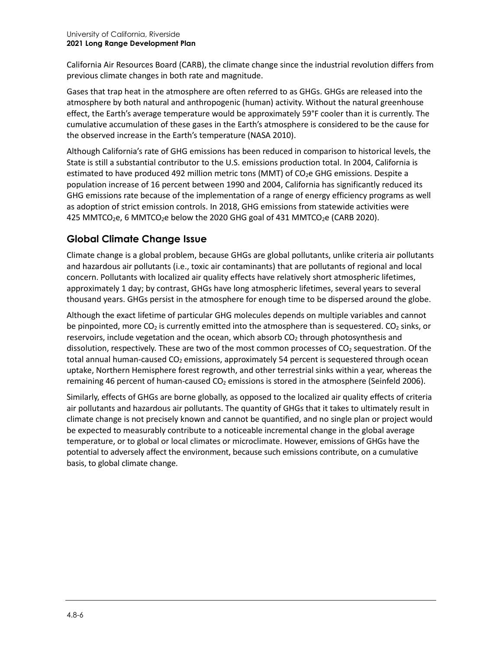California Air Resources Board (CARB), the climate change since the industrial revolution differs from previous climate changes in both rate and magnitude.

Gases that trap heat in the atmosphere are often referred to as GHGs. GHGs are released into the atmosphere by both natural and anthropogenic (human) activity. Without the natural greenhouse effect, the Earth's average temperature would be approximately 59°F cooler than it is currently. The cumulative accumulation of these gases in the Earth's atmosphere is considered to be the cause for the observed increase in the Earth's temperature (NASA 2010).

Although California's rate of GHG emissions has been reduced in comparison to historical levels, the State is still a substantial contributor to the U.S. emissions production total. In 2004, California is estimated to have produced 492 million metric tons (MMT) of  $CO<sub>2</sub>e$  GHG emissions. Despite a population increase of 16 percent between 1990 and 2004, California has significantly reduced its GHG emissions rate because of the implementation of a range of energy efficiency programs as well as adoption of strict emission controls. In 2018, GHG emissions from statewide activities were 425 MMTCO<sub>2</sub>e, 6 MMTCO<sub>2</sub>e below the 2020 GHG goal of 431 MMTCO<sub>2</sub>e (CARB 2020).

## **Global Climate Change Issue**

Climate change is a global problem, because GHGs are global pollutants, unlike criteria air pollutants and hazardous air pollutants (i.e., toxic air contaminants) that are pollutants of regional and local concern. Pollutants with localized air quality effects have relatively short atmospheric lifetimes, approximately 1 day; by contrast, GHGs have long atmospheric lifetimes, several years to several thousand years. GHGs persist in the atmosphere for enough time to be dispersed around the globe.

Although the exact lifetime of particular GHG molecules depends on multiple variables and cannot be pinpointed, more CO<sub>2</sub> is currently emitted into the atmosphere than is sequestered. CO<sub>2</sub> sinks, or reservoirs, include vegetation and the ocean, which absorb  $CO<sub>2</sub>$  through photosynthesis and dissolution, respectively. These are two of the most common processes of  $CO<sub>2</sub>$  sequestration. Of the total annual human-caused  $CO<sub>2</sub>$  emissions, approximately 54 percent is sequestered through ocean uptake, Northern Hemisphere forest regrowth, and other terrestrial sinks within a year, whereas the remaining 46 percent of human-caused  $CO<sub>2</sub>$  emissions is stored in the atmosphere (Seinfeld 2006).

Similarly, effects of GHGs are borne globally, as opposed to the localized air quality effects of criteria air pollutants and hazardous air pollutants. The quantity of GHGs that it takes to ultimately result in climate change is not precisely known and cannot be quantified, and no single plan or project would be expected to measurably contribute to a noticeable incremental change in the global average temperature, or to global or local climates or microclimate. However, emissions of GHGs have the potential to adversely affect the environment, because such emissions contribute, on a cumulative basis, to global climate change.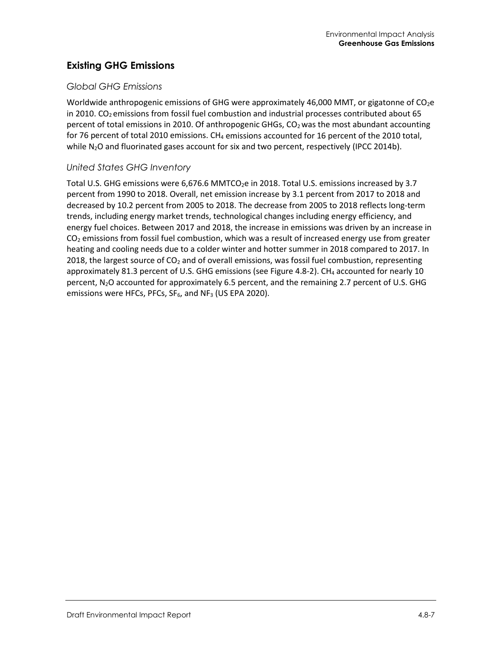### **Existing GHG Emissions**

### *Global GHG Emissions*

Worldwide anthropogenic emissions of GHG were approximately 46,000 MMT, or gigatonne of CO<sub>2</sub>e in 2010.  $CO<sub>2</sub>$  emissions from fossil fuel combustion and industrial processes contributed about 65 percent of total emissions in 2010. Of anthropogenic GHGs,  $CO<sub>2</sub>$  was the most abundant accounting for 76 percent of total 2010 emissions. CH<sub>4</sub> emissions accounted for 16 percent of the 2010 total, while  $N_2O$  and fluorinated gases account for six and two percent, respectively (IPCC 2014b).

### *United States GHG Inventory*

Total U.S. GHG emissions were  $6.676.6$  MMTCO<sub>2</sub>e in 2018. Total U.S. emissions increased by 3.7 percent from 1990 to 2018. Overall, net emission increase by 3.1 percent from 2017 to 2018 and decreased by 10.2 percent from 2005 to 2018. The decrease from 2005 to 2018 reflects long-term trends, including energy market trends, technological changes including energy efficiency, and energy fuel choices. Between 2017 and 2018, the increase in emissions was driven by an increase in  $CO<sub>2</sub>$  emissions from fossil fuel combustion, which was a result of increased energy use from greater heating and cooling needs due to a colder winter and hotter summer in 2018 compared to 2017. In 2018, the largest source of  $CO<sub>2</sub>$  and of overall emissions, was fossil fuel combustion, representing approximately 81.3 percent of U.S. GHG emissions (see [Figure 4.8-2\)](#page-7-0). CH<sub>4</sub> accounted for nearly 10 percent,  $N_2O$  accounted for approximately 6.5 percent, and the remaining 2.7 percent of U.S. GHG emissions were HFCs, PFCs,  $SF_6$ , and NF<sub>3</sub> (US EPA 2020).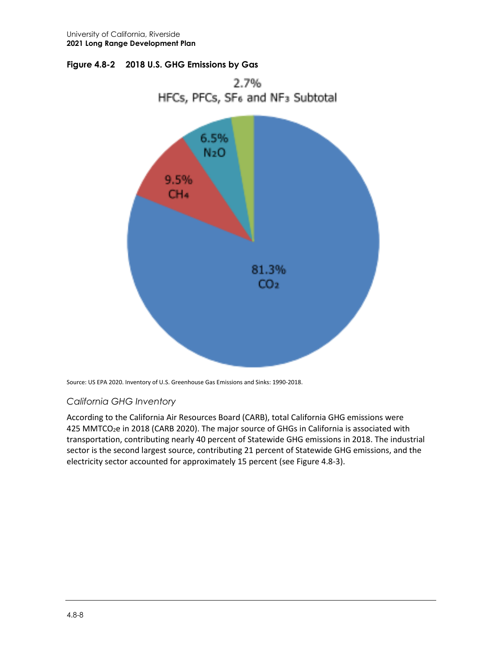<span id="page-7-0"></span>



Source: US EPA 2020. Inventory of U.S. Greenhouse Gas Emissions and Sinks: 1990-2018.

### *California GHG Inventory*

According to the California Air Resources Board (CARB), total California GHG emissions were 425 MMTCO<sub>2</sub>e in 2018 (CARB 2020). The major source of GHGs in California is associated with transportation, contributing nearly 40 percent of Statewide GHG emissions in 2018. The industrial sector is the second largest source, contributing 21 percent of Statewide GHG emissions, and the electricity sector accounted for approximately 15 percent (se[e Figure 4.8-3\)](#page-8-0).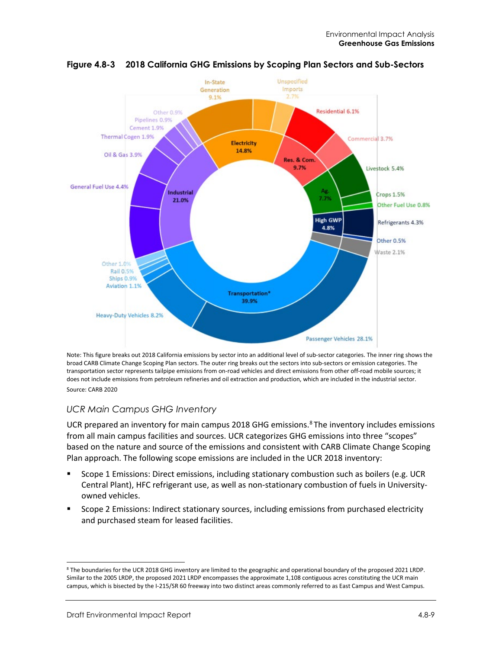

<span id="page-8-0"></span>

Note: This figure breaks out 2018 California emissions by sector into an additional level of sub-sector categories. The inner ring shows the broad CARB Climate Change Scoping Plan sectors. The outer ring breaks out the sectors into sub-sectors or emission categories. The transportation sector represents tailpipe emissions from on-road vehicles and direct emissions from other off-road mobile sources; it does not include emissions from petroleum refineries and oil extraction and production, which are included in the industrial sector. Source: CARB 2020

### *UCR Main Campus GHG Inventory*

UCR prepared an inventory for main campus 201[8](#page-8-1) GHG emissions.<sup>8</sup> The inventory includes emissions from all main campus facilities and sources. UCR categorizes GHG emissions into three "scopes" based on the nature and source of the emissions and consistent with CARB Climate Change Scoping Plan approach. The following scope emissions are included in the UCR 2018 inventory:

- Scope 1 Emissions: Direct emissions, including stationary combustion such as boilers (e.g. UCR Central Plant), HFC refrigerant use, as well as non-stationary combustion of fuels in Universityowned vehicles.
- Scope 2 Emissions: Indirect stationary sources, including emissions from purchased electricity and purchased steam for leased facilities.

<span id="page-8-1"></span><sup>8</sup> The boundaries for the UCR 2018 GHG inventory are limited to the geographic and operational boundary of the proposed 2021 LRDP. Similar to the 2005 LRDP, the proposed 2021 LRDP encompasses the approximate 1,108 contiguous acres constituting the UCR main campus, which is bisected by the I-215/SR 60 freeway into two distinct areas commonly referred to as East Campus and West Campus.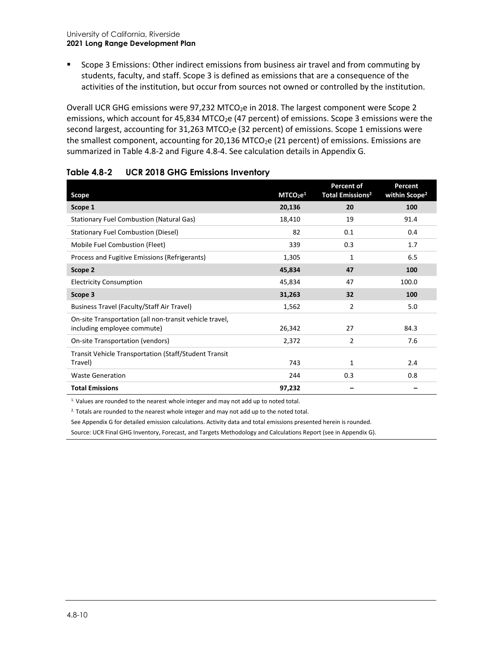**Scope 3 Emissions: Other indirect emissions from business air travel and from commuting by** students, faculty, and staff. Scope 3 is defined as emissions that are a consequence of the activities of the institution, but occur from sources not owned or controlled by the institution.

Overall UCR GHG emissions were 97,232 MTCO<sub>2</sub>e in 2018. The largest component were Scope 2 emissions, which account for 45,834 MTCO<sub>2</sub>e (47 percent) of emissions. Scope 3 emissions were the second largest, accounting for 31,263 MTCO<sub>2</sub>e (32 percent) of emissions. Scope 1 emissions were the smallest component, accounting for 20,136 MTCO<sub>2</sub>e (21 percent) of emissions. Emissions are summarized i[n Table 4.8-2](#page-9-0) and [Figure 4.8-4.](#page-10-0) See calculation details in Appendix G.

| <b>Scope</b>                                                                           | MTCO <sub>2</sub> e <sup>1</sup> | <b>Percent of</b><br><b>Total Emissions<sup>2</sup></b> | <b>Percent</b><br>within Scope <sup>2</sup> |
|----------------------------------------------------------------------------------------|----------------------------------|---------------------------------------------------------|---------------------------------------------|
| Scope 1                                                                                | 20,136                           | 20                                                      | 100                                         |
| <b>Stationary Fuel Combustion (Natural Gas)</b>                                        | 18,410                           | 19                                                      | 91.4                                        |
| <b>Stationary Fuel Combustion (Diesel)</b>                                             | 82                               | 0.1                                                     | 0.4                                         |
| Mobile Fuel Combustion (Fleet)                                                         | 339                              | 0.3                                                     | 1.7                                         |
| Process and Fugitive Emissions (Refrigerants)                                          | 1,305                            | 1                                                       | 6.5                                         |
| Scope 2                                                                                | 45,834                           | 47                                                      | 100                                         |
| <b>Electricity Consumption</b>                                                         | 45,834                           | 47                                                      | 100.0                                       |
| Scope 3                                                                                | 31,263                           | 32                                                      | 100                                         |
| Business Travel (Faculty/Staff Air Travel)                                             | 1,562                            | 2                                                       | 5.0                                         |
| On-site Transportation (all non-transit vehicle travel,<br>including employee commute) | 26,342                           | 27                                                      | 84.3                                        |
| On-site Transportation (vendors)                                                       | 2,372                            | $\overline{2}$                                          | 7.6                                         |
| Transit Vehicle Transportation (Staff/Student Transit<br>Travel)                       | 743                              | 1                                                       | 2.4                                         |
| <b>Waste Generation</b>                                                                | 244                              | 0.3                                                     | 0.8                                         |
| <b>Total Emissions</b>                                                                 | 97,232                           |                                                         |                                             |

#### <span id="page-9-0"></span>**Table 4.8-2 UCR 2018 GHG Emissions Inventory**

1. Values are rounded to the nearest whole integer and may not add up to noted total.

<sup>2.</sup> Totals are rounded to the nearest whole integer and may not add up to the noted total.

See Appendix G for detailed emission calculations. Activity data and total emissions presented herein is rounded.

Source: UCR Final GHG Inventory, Forecast, and Targets Methodology and Calculations Report (see in Appendix G).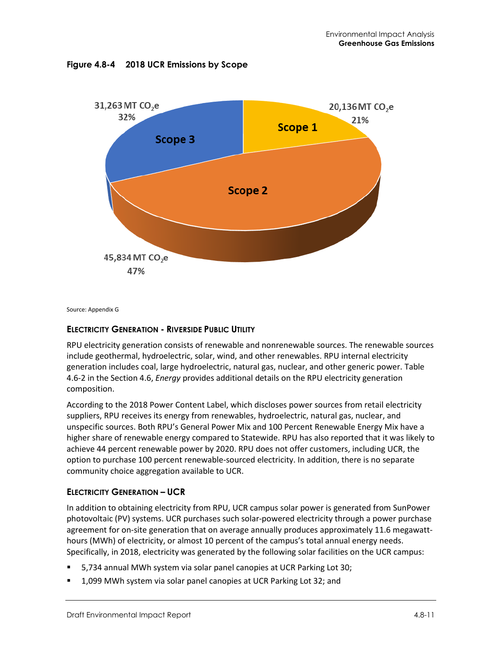<span id="page-10-0"></span>



Source: Appendix G

### **ELECTRICITY GENERATION - RIVERSIDE PUBLIC UTILITY**

RPU electricity generation consists of renewable and nonrenewable sources. The renewable sources include geothermal, hydroelectric, solar, wind, and other renewables. RPU internal electricity generation includes coal, large hydroelectric, natural gas, nuclear, and other generic power. Table 4.6-2 in the Section 4.6, *Energy* provides additional details on the RPU electricity generation composition.

According to the 2018 Power Content Label, which discloses power sources from retail electricity suppliers, RPU receives its energy from renewables, hydroelectric, natural gas, nuclear, and unspecific sources. Both RPU's General Power Mix and 100 Percent Renewable Energy Mix have a higher share of renewable energy compared to Statewide. RPU has also reported that it was likely to achieve 44 percent renewable power by 2020. RPU does not offer customers, including UCR, the option to purchase 100 percent renewable-sourced electricity. In addition, there is no separate community choice aggregation available to UCR.

### **ELECTRICITY GENERATION – UCR**

In addition to obtaining electricity from RPU, UCR campus solar power is generated from SunPower photovoltaic (PV) systems. UCR purchases such solar-powered electricity through a power purchase agreement for on-site generation that on average annually produces approximately 11.6 megawatthours (MWh) of electricity, or almost 10 percent of the campus's total annual energy needs. Specifically, in 2018, electricity was generated by the following solar facilities on the UCR campus:

- 5,734 annual MWh system via solar panel canopies at UCR Parking Lot 30;
- 1,099 MWh system via solar panel canopies at UCR Parking Lot 32; and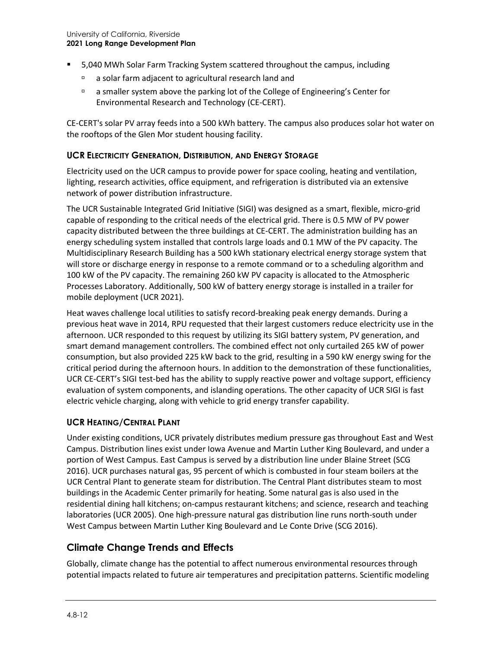- 5,040 MWh Solar Farm Tracking System scattered throughout the campus, including
	- a solar farm adjacent to agricultural research land and
	- a smaller system above the parking lot of the College of Engineering's Center for Environmental Research and Technology (CE-CERT).

CE-CERT's solar PV array feeds into a 500 kWh battery. The campus also produces solar hot water on the rooftops of the Glen Mor student housing facility.

#### **UCR ELECTRICITY GENERATION, DISTRIBUTION, AND ENERGY STORAGE**

Electricity used on the UCR campus to provide power for space cooling, heating and ventilation, lighting, research activities, office equipment, and refrigeration is distributed via an extensive network of power distribution infrastructure.

The UCR Sustainable Integrated Grid Initiative (SIGI) was designed as a smart, flexible, micro-grid capable of responding to the critical needs of the electrical grid. There is 0.5 MW of PV power capacity distributed between the three buildings at CE-CERT. The administration building has an energy scheduling system installed that controls large loads and 0.1 MW of the PV capacity. The Multidisciplinary Research Building has a 500 kWh stationary electrical energy storage system that will store or discharge energy in response to a remote command or to a scheduling algorithm and 100 kW of the PV capacity. The remaining 260 kW PV capacity is allocated to the Atmospheric Processes Laboratory. Additionally, 500 kW of battery energy storage is installed in a trailer for mobile deployment (UCR 2021).

Heat waves challenge local utilities to satisfy record-breaking peak energy demands. During a previous heat wave in 2014, RPU requested that their largest customers reduce electricity use in the afternoon. UCR responded to this request by utilizing its SIGI battery system, PV generation, and smart demand management controllers. The combined effect not only curtailed 265 kW of power consumption, but also provided 225 kW back to the grid, resulting in a 590 kW energy swing for the critical period during the afternoon hours. In addition to the demonstration of these functionalities, UCR CE-CERT's SIGI test-bed has the ability to supply reactive power and voltage support, efficiency evaluation of system components, and islanding operations. The other capacity of UCR SIGI is fast electric vehicle charging, along with vehicle to grid energy transfer capability.

### **UCR HEATING/CENTRAL PLANT**

Under existing conditions, UCR privately distributes medium pressure gas throughout East and West Campus. Distribution lines exist under Iowa Avenue and Martin Luther King Boulevard, and under a portion of West Campus. East Campus is served by a distribution line under Blaine Street (SCG 2016). UCR purchases natural gas, 95 percent of which is combusted in four steam boilers at the UCR Central Plant to generate steam for distribution. The Central Plant distributes steam to most buildings in the Academic Center primarily for heating. Some natural gas is also used in the residential dining hall kitchens; on-campus restaurant kitchens; and science, research and teaching laboratories (UCR 2005). One high-pressure natural gas distribution line runs north-south under West Campus between Martin Luther King Boulevard and Le Conte Drive (SCG 2016).

### **Climate Change Trends and Effects**

Globally, climate change has the potential to affect numerous environmental resources through potential impacts related to future air temperatures and precipitation patterns. Scientific modeling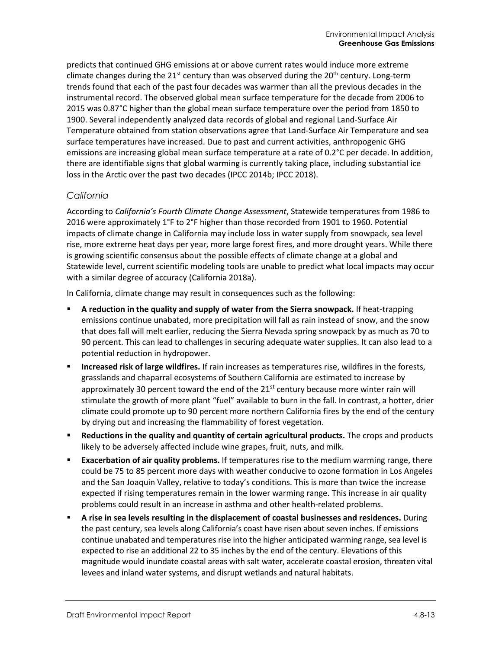predicts that continued GHG emissions at or above current rates would induce more extreme climate changes during the  $21^{st}$  century than was observed during the  $20^{th}$  century. Long-term trends found that each of the past four decades was warmer than all the previous decades in the instrumental record. The observed global mean surface temperature for the decade from 2006 to 2015 was 0.87°C higher than the global mean surface temperature over the period from 1850 to 1900. Several independently analyzed data records of global and regional Land-Surface Air Temperature obtained from station observations agree that Land-Surface Air Temperature and sea surface temperatures have increased. Due to past and current activities, anthropogenic GHG emissions are increasing global mean surface temperature at a rate of 0.2°C per decade. In addition, there are identifiable signs that global warming is currently taking place, including substantial ice loss in the Arctic over the past two decades (IPCC 2014b; IPCC 2018).

### *California*

According to *California's Fourth Climate Change Assessment*, Statewide temperatures from 1986 to 2016 were approximately 1°F to 2°F higher than those recorded from 1901 to 1960. Potential impacts of climate change in California may include loss in water supply from snowpack, sea level rise, more extreme heat days per year, more large forest fires, and more drought years. While there is growing scientific consensus about the possible effects of climate change at a global and Statewide level, current scientific modeling tools are unable to predict what local impacts may occur with a similar degree of accuracy (California 2018a).

In California, climate change may result in consequences such as the following:

- **A reduction in the quality and supply of water from the Sierra snowpack.** If heat-trapping emissions continue unabated, more precipitation will fall as rain instead of snow, and the snow that does fall will melt earlier, reducing the Sierra Nevada spring snowpack by as much as 70 to 90 percent. This can lead to challenges in securing adequate water supplies. It can also lead to a potential reduction in hydropower.
- **Increased risk of large wildfires.** If rain increases as temperatures rise, wildfires in the forests, grasslands and chaparral ecosystems of Southern California are estimated to increase by approximately 30 percent toward the end of the  $21<sup>st</sup>$  century because more winter rain will stimulate the growth of more plant "fuel" available to burn in the fall. In contrast, a hotter, drier climate could promote up to 90 percent more northern California fires by the end of the century by drying out and increasing the flammability of forest vegetation.
- **Reductions in the quality and quantity of certain agricultural products.** The crops and products likely to be adversely affected include wine grapes, fruit, nuts, and milk.
- **Exacerbation of air quality problems.** If temperatures rise to the medium warming range, there could be 75 to 85 percent more days with weather conducive to ozone formation in Los Angeles and the San Joaquin Valley, relative to today's conditions. This is more than twice the increase expected if rising temperatures remain in the lower warming range. This increase in air quality problems could result in an increase in asthma and other health-related problems.
- **A rise in sea levels resulting in the displacement of coastal businesses and residences.** During the past century, sea levels along California's coast have risen about seven inches. If emissions continue unabated and temperatures rise into the higher anticipated warming range, sea level is expected to rise an additional 22 to 35 inches by the end of the century. Elevations of this magnitude would inundate coastal areas with salt water, accelerate coastal erosion, threaten vital levees and inland water systems, and disrupt wetlands and natural habitats.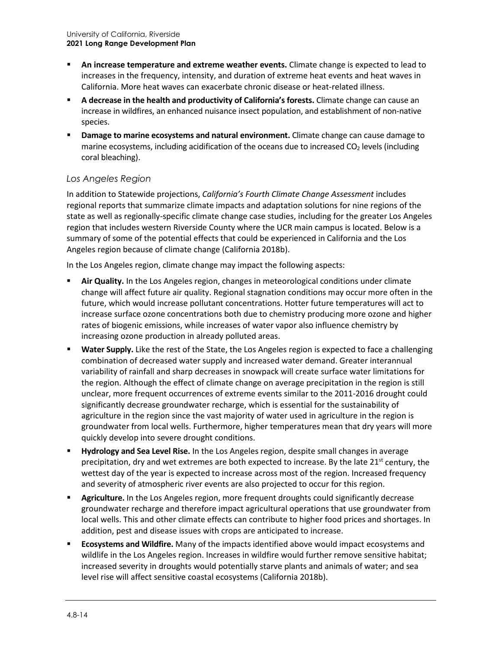- **An increase temperature and extreme weather events.** Climate change is expected to lead to increases in the frequency, intensity, and duration of extreme heat events and heat waves in California. More heat waves can exacerbate chronic disease or heat-related illness.
- **A decrease in the health and productivity of California's forests.** Climate change can cause an increase in wildfires, an enhanced nuisance insect population, and establishment of non-native species.
- **Damage to marine ecosystems and natural environment.** Climate change can cause damage to marine ecosystems, including acidification of the oceans due to increased  $CO<sub>2</sub>$  levels (including coral bleaching).

### *Los Angeles Region*

In addition to Statewide projections, *California's Fourth Climate Change Assessment* includes regional reports that summarize climate impacts and adaptation solutions for nine regions of the state as well as regionally-specific climate change case studies, including for the greater Los Angeles region that includes western Riverside County where the UCR main campus is located. Below is a summary of some of the potential effects that could be experienced in California and the Los Angeles region because of climate change (California 2018b).

In the Los Angeles region, climate change may impact the following aspects:

- **Air Quality.** In the Los Angeles region, changes in meteorological conditions under climate change will affect future air quality. Regional stagnation conditions may occur more often in the future, which would increase pollutant concentrations. Hotter future temperatures will act to increase surface ozone concentrations both due to chemistry producing more ozone and higher rates of biogenic emissions, while increases of water vapor also influence chemistry by increasing ozone production in already polluted areas.
- **Water Supply.** Like the rest of the State, the Los Angeles region is expected to face a challenging combination of decreased water supply and increased water demand. Greater interannual variability of rainfall and sharp decreases in snowpack will create surface water limitations for the region. Although the effect of climate change on average precipitation in the region is still unclear, more frequent occurrences of extreme events similar to the 2011-2016 drought could significantly decrease groundwater recharge, which is essential for the sustainability of agriculture in the region since the vast majority of water used in agriculture in the region is groundwater from local wells. Furthermore, higher temperatures mean that dry years will more quickly develop into severe drought conditions.
- **Hydrology and Sea Level Rise.** In the Los Angeles region, despite small changes in average precipitation, dry and wet extremes are both expected to increase. By the late  $21^{st}$  century, the wettest day of the year is expected to increase across most of the region. Increased frequency and severity of atmospheric river events are also projected to occur for this region.
- **Agriculture.** In the Los Angeles region, more frequent droughts could significantly decrease groundwater recharge and therefore impact agricultural operations that use groundwater from local wells. This and other climate effects can contribute to higher food prices and shortages. In addition, pest and disease issues with crops are anticipated to increase.
- **Ecosystems and Wildfire.** Many of the impacts identified above would impact ecosystems and wildlife in the Los Angeles region. Increases in wildfire would further remove sensitive habitat; increased severity in droughts would potentially starve plants and animals of water; and sea level rise will affect sensitive coastal ecosystems (California 2018b).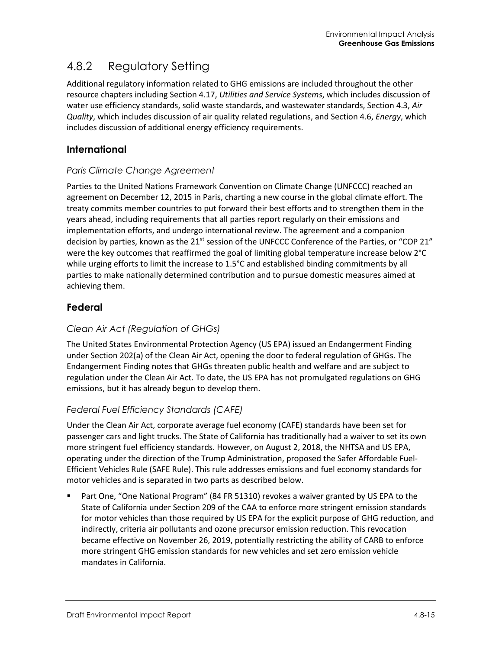## 4.8.2 Regulatory Setting

Additional regulatory information related to GHG emissions are included throughout the other resource chapters including Section 4.17, *Utilities and Service Systems*, which includes discussion of water use efficiency standards, solid waste standards, and wastewater standards, Section 4.3, *Air Quality*, which includes discussion of air quality related regulations, and Section 4.6, *Energy*, which includes discussion of additional energy efficiency requirements.

### **International**

### *Paris Climate Change Agreement*

Parties to the United Nations Framework Convention on Climate Change (UNFCCC) reached an agreement on December 12, 2015 in Paris, charting a new course in the global climate effort. The treaty commits member countries to put forward their best efforts and to strengthen them in the years ahead, including requirements that all parties report regularly on their emissions and implementation efforts, and undergo international review. The agreement and a companion decision by parties, known as the  $21^{st}$  session of the UNFCCC Conference of the Parties, or "COP 21" were the key outcomes that reaffirmed the goal of limiting global temperature increase below 2°C while urging efforts to limit the increase to 1.5°C and established binding commitments by all parties to make nationally determined contribution and to pursue domestic measures aimed at achieving them.

### **Federal**

### *Clean Air Act (Regulation of GHGs)*

The United States Environmental Protection Agency (US EPA) issued an Endangerment Finding under Section 202(a) of the Clean Air Act, opening the door to federal regulation of GHGs. The Endangerment Finding notes that GHGs threaten public health and welfare and are subject to regulation under the Clean Air Act. To date, the US EPA has not promulgated regulations on GHG emissions, but it has already begun to develop them.

### *Federal Fuel Efficiency Standards (CAFE)*

Under the Clean Air Act, corporate average fuel economy (CAFE) standards have been set for passenger cars and light trucks. The State of California has traditionally had a waiver to set its own more stringent fuel efficiency standards. However, on August 2, 2018, the NHTSA and US EPA, operating under the direction of the Trump Administration, proposed the Safer Affordable Fuel-Efficient Vehicles Rule (SAFE Rule). This rule addresses emissions and fuel economy standards for motor vehicles and is separated in two parts as described below.

 Part One, "One National Program" (84 FR 51310) revokes a waiver granted by US EPA to the State of California under Section 209 of the CAA to enforce more stringent emission standards for motor vehicles than those required by US EPA for the explicit purpose of GHG reduction, and indirectly, criteria air pollutants and ozone precursor emission reduction. This revocation became effective on November 26, 2019, potentially restricting the ability of CARB to enforce more stringent GHG emission standards for new vehicles and set zero emission vehicle mandates in California.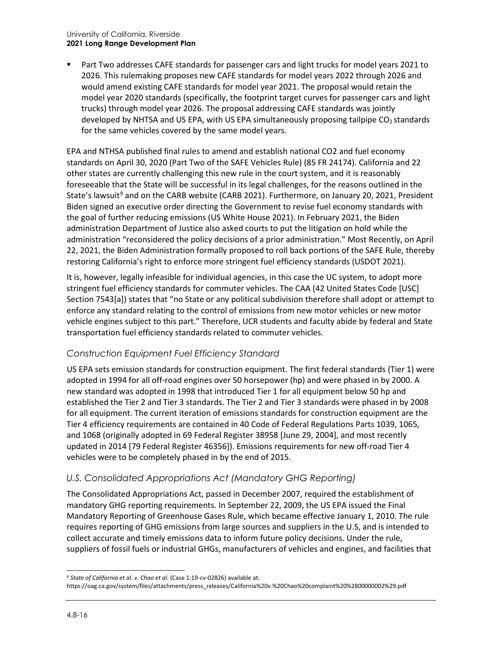#### University of California, Riverside **2021 Long Range Development Plan**

 Part Two addresses CAFE standards for passenger cars and light trucks for model years 2021 to 2026. This rulemaking proposes new CAFE standards for model years 2022 through 2026 and would amend existing CAFE standards for model year 2021. The proposal would retain the model year 2020 standards (specifically, the footprint target curves for passenger cars and light trucks) through model year 2026. The proposal addressing CAFE standards was jointly developed by NHTSA and US EPA, with US EPA simultaneously proposing tailpipe CO<sub>2</sub> standards for the same vehicles covered by the same model years.

EPA and NTHSA published final rules to amend and establish national CO2 and fuel economy standards on April 30, 2020 (Part Two of the SAFE Vehicles Rule) (85 FR 24174). California and 22 other states are currently challenging this new rule in the court system, and it is reasonably foreseeable that the State will be successful in its legal challenges, for the reasons outlined in the State's lawsuit<sup>[9](#page-15-0)</sup> and on the CARB website (CARB 2021). Furthermore, on January 20, 2021, President Biden signed an executive order directing the Government to revise fuel economy standards with the goal of further reducing emissions (US White House 2021). In February 2021, the Biden administration Department of Justice also asked courts to put the litigation on hold while the administration "reconsidered the policy decisions of a prior administration." Most Recently, on April 22, 2021, the Biden Administration formally proposed to roll back portions of the SAFE Rule, thereby restoring California's right to enforce more stringent fuel efficiency standards (USDOT 2021).

It is, however, legally infeasible for individual agencies, in this case the UC system, to adopt more stringent fuel efficiency standards for commuter vehicles. The CAA (42 United States Code [USC] Section 7543[a]) states that "no State or any political subdivision therefore shall adopt or attempt to enforce any standard relating to the control of emissions from new motor vehicles or new motor vehicle engines subject to this part." Therefore, UCR students and faculty abide by federal and State transportation fuel efficiency standards related to commuter vehicles.

### *Construction Equipment Fuel Efficiency Standard*

US EPA sets emission standards for construction equipment. The first federal standards (Tier 1) were adopted in 1994 for all off-road engines over 50 horsepower (hp) and were phased in by 2000. A new standard was adopted in 1998 that introduced Tier 1 for all equipment below 50 hp and established the Tier 2 and Tier 3 standards. The Tier 2 and Tier 3 standards were phased in by 2008 for all equipment. The current iteration of emissions standards for construction equipment are the Tier 4 efficiency requirements are contained in 40 Code of Federal Regulations Parts 1039, 1065, and 1068 (originally adopted in 69 Federal Register 38958 [June 29, 2004], and most recently updated in 2014 [79 Federal Register 46356]). Emissions requirements for new off-road Tier 4 vehicles were to be completely phased in by the end of 2015.

### *U.S. Consolidated Appropriations Act (Mandatory GHG Reporting)*

The Consolidated Appropriations Act, passed in December 2007, required the establishment of mandatory GHG reporting requirements. In September 22, 2009, the US EPA issued the Final Mandatory Reporting of Greenhouse Gases Rule, which became effective January 1, 2010. The rule requires reporting of GHG emissions from large sources and suppliers in the U.S, and is intended to collect accurate and timely emissions data to inform future policy decisions. Under the rule, suppliers of fossil fuels or industrial GHGs, manufacturers of vehicles and engines, and facilities that

<span id="page-15-0"></span><sup>9</sup> *State of California et al. v. Chao et al.* (Case 1:19-cv-02826) available at:

[https://oag.ca.gov/system/files/attachments/press\\_releases/California%20v.%20Chao%20complaint%20%2800000002%29.pdf](https://oag.ca.gov/system/files/attachments/press_releases/California%20v.%20Chao%20complaint%20%2800000002%29.pdf)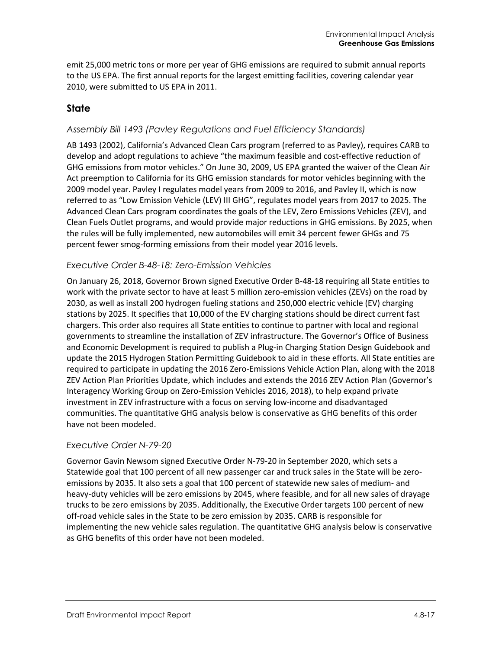emit 25,000 metric tons or more per year of GHG emissions are required to submit annual reports to the US EPA. The first annual reports for the largest emitting facilities, covering calendar year 2010, were submitted to US EPA in 2011.

### **State**

#### *Assembly Bill 1493 (Pavley Regulations and Fuel Efficiency Standards)*

AB 1493 (2002), California's Advanced Clean Cars program (referred to as Pavley), requires CARB to develop and adopt regulations to achieve "the maximum feasible and cost-effective reduction of GHG emissions from motor vehicles." On June 30, 2009, US EPA granted the waiver of the Clean Air Act preemption to California for its GHG emission standards for motor vehicles beginning with the 2009 model year. Pavley I regulates model years from 2009 to 2016, and Pavley II, which is now referred to as "Low Emission Vehicle (LEV) III GHG", regulates model years from 2017 to 2025. The Advanced Clean Cars program coordinates the goals of the LEV, Zero Emissions Vehicles (ZEV), and Clean Fuels Outlet programs, and would provide major reductions in GHG emissions. By 2025, when the rules will be fully implemented, new automobiles will emit 34 percent fewer GHGs and 75 percent fewer smog-forming emissions from their model year 2016 levels.

#### *Executive Order B-48-18: Zero-Emission Vehicles*

On January 26, 2018, Governor Brown signed Executive Order B-48-18 requiring all State entities to work with the private sector to have at least 5 million zero-emission vehicles (ZEVs) on the road by 2030, as well as install 200 hydrogen fueling stations and 250,000 electric vehicle (EV) charging stations by 2025. It specifies that 10,000 of the EV charging stations should be direct current fast chargers. This order also requires all State entities to continue to partner with local and regional governments to streamline the installation of ZEV infrastructure. The Governor's Office of Business and Economic Development is required to publish a Plug-in Charging Station Design Guidebook and update the 2015 Hydrogen Station Permitting Guidebook to aid in these efforts. All State entities are required to participate in updating the 2016 Zero-Emissions Vehicle Action Plan, along with the 2018 ZEV Action Plan Priorities Update, which includes and extends the 2016 ZEV Action Plan (Governor's Interagency Working Group on Zero-Emission Vehicles 2016, 2018), to help expand private investment in ZEV infrastructure with a focus on serving low-income and disadvantaged communities. The quantitative GHG analysis below is conservative as GHG benefits of this order have not been modeled.

#### *Executive Order N-79-20*

Governor Gavin Newsom signed Executive Order N-79-20 in September 2020, which sets a Statewide goal that 100 percent of all new passenger car and truck sales in the State will be zeroemissions by 2035. It also sets a goal that 100 percent of statewide new sales of medium- and heavy-duty vehicles will be zero emissions by 2045, where feasible, and for all new sales of drayage trucks to be zero emissions by 2035. Additionally, the Executive Order targets 100 percent of new off-road vehicle sales in the State to be zero emission by 2035. CARB is responsible for implementing the new vehicle sales regulation. The quantitative GHG analysis below is conservative as GHG benefits of this order have not been modeled.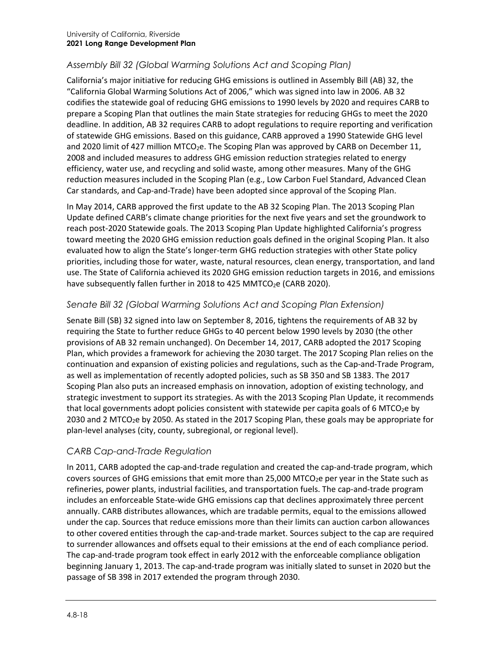### *Assembly Bill 32 (Global Warming Solutions Act and Scoping Plan)*

California's major initiative for reducing GHG emissions is outlined in Assembly Bill (AB) 32, the "California Global Warming Solutions Act of 2006," which was signed into law in 2006. AB 32 codifies the statewide goal of reducing GHG emissions to 1990 levels by 2020 and requires CARB to prepare a Scoping Plan that outlines the main State strategies for reducing GHGs to meet the 2020 deadline. In addition, AB 32 requires CARB to adopt regulations to require reporting and verification of statewide GHG emissions. Based on this guidance, CARB approved a 1990 Statewide GHG level and 2020 limit of 427 million MTCO<sub>2</sub>e. The Scoping Plan was approved by CARB on December 11, 2008 and included measures to address GHG emission reduction strategies related to energy efficiency, water use, and recycling and solid waste, among other measures. Many of the GHG reduction measures included in the Scoping Plan (e.g., Low Carbon Fuel Standard, Advanced Clean Car standards, and Cap-and-Trade) have been adopted since approval of the Scoping Plan.

In May 2014, CARB approved the first update to the AB 32 Scoping Plan. The 2013 Scoping Plan Update defined CARB's climate change priorities for the next five years and set the groundwork to reach post-2020 Statewide goals. The 2013 Scoping Plan Update highlighted California's progress toward meeting the 2020 GHG emission reduction goals defined in the original Scoping Plan. It also evaluated how to align the State's longer-term GHG reduction strategies with other State policy priorities, including those for water, waste, natural resources, clean energy, transportation, and land use. The State of California achieved its 2020 GHG emission reduction targets in 2016, and emissions have subsequently fallen further in 2018 to 425 MMTCO<sub>2</sub>e (CARB 2020).

### *Senate Bill 32 (Global Warming Solutions Act and Scoping Plan Extension)*

Senate Bill (SB) 32 signed into law on September 8, 2016, tightens the requirements of AB 32 by requiring the State to further reduce GHGs to 40 percent below 1990 levels by 2030 (the other provisions of AB 32 remain unchanged). On December 14, 2017, CARB adopted the 2017 Scoping Plan, which provides a framework for achieving the 2030 target. The 2017 Scoping Plan relies on the continuation and expansion of existing policies and regulations, such as the Cap-and-Trade Program, as well as implementation of recently adopted policies, such as SB 350 and SB 1383. The 2017 Scoping Plan also puts an increased emphasis on innovation, adoption of existing technology, and strategic investment to support its strategies. As with the 2013 Scoping Plan Update, it recommends that local governments adopt policies consistent with statewide per capita goals of 6 MTCO<sub>2</sub>e by 2030 and 2 MTCO<sub>2</sub>e by 2050. As stated in the 2017 Scoping Plan, these goals may be appropriate for plan-level analyses (city, county, subregional, or regional level).

### *CARB Cap-and-Trade Regulation*

In 2011, CARB adopted the cap-and-trade regulation and created the cap-and-trade program, which covers sources of GHG emissions that emit more than 25,000 MTCO<sub>2</sub>e per year in the State such as refineries, power plants, industrial facilities, and transportation fuels. The cap-and-trade program includes an enforceable State-wide GHG emissions cap that declines approximately three percent annually. CARB distributes allowances, which are tradable permits, equal to the emissions allowed under the cap. Sources that reduce emissions more than their limits can auction carbon allowances to other covered entities through the cap-and-trade market. Sources subject to the cap are required to surrender allowances and offsets equal to their emissions at the end of each compliance period. The cap-and-trade program took effect in early 2012 with the enforceable compliance obligation beginning January 1, 2013. The cap-and-trade program was initially slated to sunset in 2020 but the passage of SB 398 in 2017 extended the program through 2030.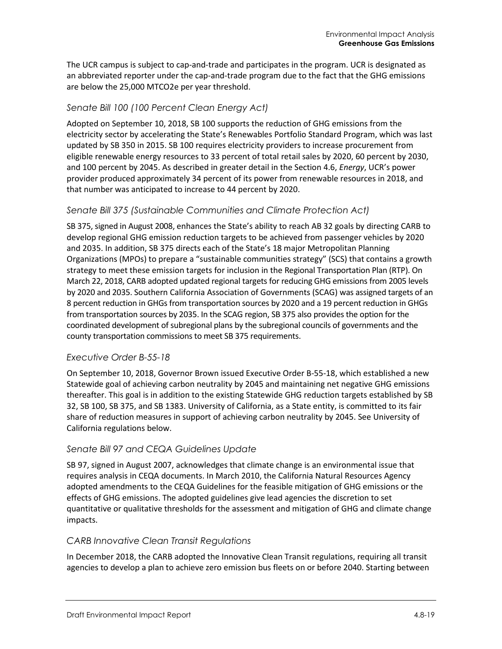The UCR campus is subject to cap-and-trade and participates in the program. UCR is designated as an abbreviated reporter under the cap-and-trade program due to the fact that the GHG emissions are below the 25,000 MTCO2e per year threshold.

### *Senate Bill 100 (100 Percent Clean Energy Act)*

Adopted on September 10, 2018, SB 100 supports the reduction of GHG emissions from the electricity sector by accelerating the State's Renewables Portfolio Standard Program, which was last updated by SB 350 in 2015. SB 100 requires electricity providers to increase procurement from eligible renewable energy resources to 33 percent of total retail sales by 2020, 60 percent by 2030, and 100 percent by 2045. As described in greater detail in the Section 4.6, *Energy*, UCR's power provider produced approximately 34 percent of its power from renewable resources in 2018, and that number was anticipated to increase to 44 percent by 2020.

### *Senate Bill 375 (Sustainable Communities and Climate Protection Act)*

SB 375, signed in August 2008, enhances the State's ability to reach AB 32 goals by directing CARB to develop regional GHG emission reduction targets to be achieved from passenger vehicles by 2020 and 2035. In addition, SB 375 directs each of the State's 18 major Metropolitan Planning Organizations (MPOs) to prepare a "sustainable communities strategy" (SCS) that contains a growth strategy to meet these emission targets for inclusion in the Regional Transportation Plan (RTP). On March 22, 2018, CARB adopted updated regional targets for reducing GHG emissions from 2005 levels by 2020 and 2035. Southern California Association of Governments (SCAG) was assigned targets of an 8 percent reduction in GHGs from transportation sources by 2020 and a 19 percent reduction in GHGs from transportation sources by 2035. In the SCAG region, SB 375 also provides the option for the coordinated development of subregional plans by the subregional councils of governments and the county transportation commissions to meet SB 375 requirements.

### *Executive Order B-55-18*

On September 10, 2018, Governor Brown issued Executive Order B-55-18, which established a new Statewide goal of achieving carbon neutrality by 2045 and maintaining net negative GHG emissions thereafter. This goal is in addition to the existing Statewide GHG reduction targets established by SB 32, SB 100, SB 375, and SB 1383. University of California, as a State entity, is committed to its fair share of reduction measures in support of achieving carbon neutrality by 2045. See [University of](#page-21-0)  [California](#page-21-0) regulations below.

### *Senate Bill 97 and CEQA Guidelines Update*

SB 97, signed in August 2007, acknowledges that climate change is an environmental issue that requires analysis in CEQA documents. In March 2010, the California Natural Resources Agency adopted amendments to the CEQA Guidelines for the feasible mitigation of GHG emissions or the effects of GHG emissions. The adopted guidelines give lead agencies the discretion to set quantitative or qualitative thresholds for the assessment and mitigation of GHG and climate change impacts.

### *CARB Innovative Clean Transit Regulations*

In December 2018, the CARB adopted the Innovative Clean Transit regulations, requiring all transit agencies to develop a plan to achieve zero emission bus fleets on or before 2040. Starting between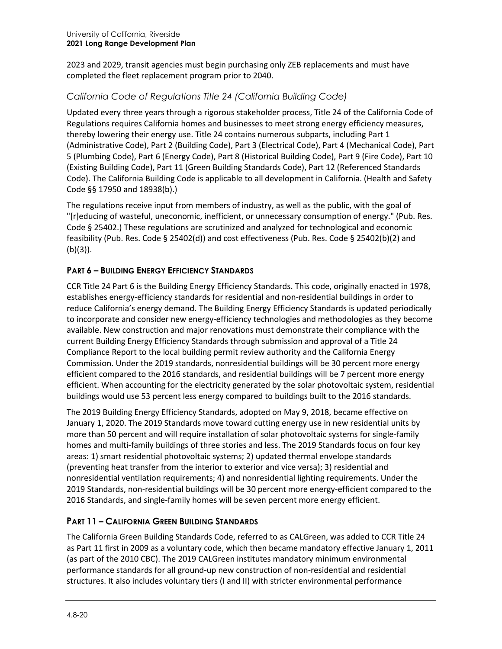2023 and 2029, transit agencies must begin purchasing only ZEB replacements and must have completed the fleet replacement program prior to 2040.

### *California Code of Regulations Title 24 (California Building Code)*

Updated every three years through a rigorous stakeholder process, Title 24 of the California Code of Regulations requires California homes and businesses to meet strong energy efficiency measures, thereby lowering their energy use. Title 24 contains numerous subparts, including Part 1 (Administrative Code), Part 2 (Building Code), Part 3 (Electrical Code), Part 4 (Mechanical Code), Part 5 (Plumbing Code), Part 6 (Energy Code), Part 8 (Historical Building Code), Part 9 (Fire Code), Part 10 (Existing Building Code), Part 11 (Green Building Standards Code), Part 12 (Referenced Standards Code). The California Building Code is applicable to all development in California. (Health and Safety Code §§ 17950 and 18938(b).)

The regulations receive input from members of industry, as well as the public, with the goal of "[r]educing of wasteful, uneconomic, inefficient, or unnecessary consumption of energy." (Pub. Res. Code § 25402.) These regulations are scrutinized and analyzed for technological and economic feasibility (Pub. Res. Code § 25402(d)) and cost effectiveness (Pub. Res. Code § 25402(b)(2) and (b)(3)).

### **PART 6 – BUILDING ENERGY EFFICIENCY STANDARDS**

CCR Title 24 Part 6 is the Building Energy Efficiency Standards. This code, originally enacted in 1978, establishes energy-efficiency standards for residential and non-residential buildings in order to reduce California's energy demand. The Building Energy Efficiency Standards is updated periodically to incorporate and consider new energy-efficiency technologies and methodologies as they become available. New construction and major renovations must demonstrate their compliance with the current Building Energy Efficiency Standards through submission and approval of a Title 24 Compliance Report to the local building permit review authority and the California Energy Commission. Under the 2019 standards, nonresidential buildings will be 30 percent more energy efficient compared to the 2016 standards, and residential buildings will be 7 percent more energy efficient. When accounting for the electricity generated by the solar photovoltaic system, residential buildings would use 53 percent less energy compared to buildings built to the 2016 standards.

The 2019 Building Energy Efficiency Standards, adopted on May 9, 2018, became effective on January 1, 2020. The 2019 Standards move toward cutting energy use in new residential units by more than 50 percent and will require installation of solar photovoltaic systems for single-family homes and multi-family buildings of three stories and less. The 2019 Standards focus on four key areas: 1) smart residential photovoltaic systems; 2) updated thermal envelope standards (preventing heat transfer from the interior to exterior and vice versa); 3) residential and nonresidential ventilation requirements; 4) and nonresidential lighting requirements. Under the 2019 Standards, non-residential buildings will be 30 percent more energy-efficient compared to the 2016 Standards, and single-family homes will be seven percent more energy efficient.

### **PART 11 – CALIFORNIA GREEN BUILDING STANDARDS**

The California Green Building Standards Code, referred to as CALGreen, was added to CCR Title 24 as Part 11 first in 2009 as a voluntary code, which then became mandatory effective January 1, 2011 (as part of the 2010 CBC). The 2019 CALGreen institutes mandatory minimum environmental performance standards for all ground-up new construction of non-residential and residential structures. It also includes voluntary tiers (I and II) with stricter environmental performance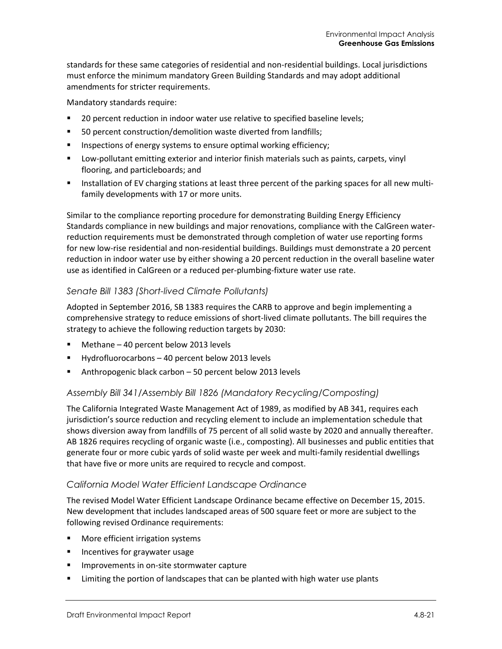standards for these same categories of residential and non-residential buildings. Local jurisdictions must enforce the minimum mandatory Green Building Standards and may adopt additional amendments for stricter requirements.

Mandatory standards require:

- **20 percent reduction in indoor water use relative to specified baseline levels;**
- 50 percent construction/demolition waste diverted from landfills;
- Inspections of energy systems to ensure optimal working efficiency;
- Low-pollutant emitting exterior and interior finish materials such as paints, carpets, vinyl flooring, and particleboards; and
- Installation of EV charging stations at least three percent of the parking spaces for all new multifamily developments with 17 or more units.

Similar to the compliance reporting procedure for demonstrating Building Energy Efficiency Standards compliance in new buildings and major renovations, compliance with the CalGreen waterreduction requirements must be demonstrated through completion of water use reporting forms for new low-rise residential and non-residential buildings. Buildings must demonstrate a 20 percent reduction in indoor water use by either showing a 20 percent reduction in the overall baseline water use as identified in CalGreen or a reduced per-plumbing-fixture water use rate.

### *Senate Bill 1383 (Short-lived Climate Pollutants)*

Adopted in September 2016, SB 1383 requires the CARB to approve and begin implementing a comprehensive strategy to reduce emissions of short-lived climate pollutants. The bill requires the strategy to achieve the following reduction targets by 2030:

- **Methane 40 percent below 2013 levels**
- Hydrofluorocarbons 40 percent below 2013 levels
- Anthropogenic black carbon 50 percent below 2013 levels

### *Assembly Bill 341/Assembly Bill 1826 (Mandatory Recycling/Composting)*

The California Integrated Waste Management Act of 1989, as modified by AB 341, requires each jurisdiction's source reduction and recycling element to include an implementation schedule that shows diversion away from landfills of 75 percent of all solid waste by 2020 and annually thereafter. AB 1826 requires recycling of organic waste (i.e., composting). All businesses and public entities that generate four or more cubic yards of solid waste per week and multi-family residential dwellings that have five or more units are required to recycle and compost.

### *California Model Water Efficient Landscape Ordinance*

The revised Model Water Efficient Landscape Ordinance became effective on December 15, 2015. New development that includes landscaped areas of 500 square feet or more are subject to the following revised Ordinance requirements:

- **Nore efficient irrigation systems**
- **Incentives for graywater usage**
- **IMPROMENTS IN ON-SITE STORMATER CAPTURE**
- **EXECT** Limiting the portion of landscapes that can be planted with high water use plants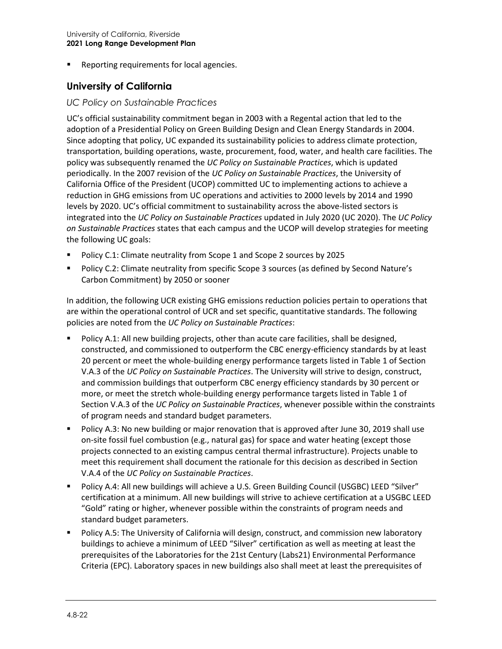**Reporting requirements for local agencies.** 

### <span id="page-21-0"></span>**University of California**

#### *UC Policy on Sustainable Practices*

UC's official sustainability commitment began in 2003 with a Regental action that led to the adoption of a Presidential Policy on Green Building Design and Clean Energy Standards in 2004. Since adopting that policy, UC expanded its sustainability policies to address climate protection, transportation, building operations, waste, procurement, food, water, and health care facilities. The policy was subsequently renamed the *UC Policy on Sustainable Practices*, which is updated periodically. In the 2007 revision of the *UC Policy on Sustainable Practices*, the University of California Office of the President (UCOP) committed UC to implementing actions to achieve a reduction in GHG emissions from UC operations and activities to 2000 levels by 2014 and 1990 levels by 2020. UC's official commitment to sustainability across the above-listed sectors is integrated into the *UC Policy on Sustainable Practices* updated in July 2020 (UC 2020). The *UC Policy on Sustainable Practices* states that each campus and the UCOP will develop strategies for meeting the following UC goals:

- Policy C.1: Climate neutrality from Scope 1 and Scope 2 sources by 2025
- Policy C.2: Climate neutrality from specific Scope 3 sources (as defined by Second Nature's Carbon Commitment) by 2050 or sooner

In addition, the following UCR existing GHG emissions reduction policies pertain to operations that are within the operational control of UCR and set specific, quantitative standards. The following policies are noted from the *UC Policy on Sustainable Practices*:

- Policy A.1: All new building projects, other than acute care facilities, shall be designed, constructed, and commissioned to outperform the CBC energy-efficiency standards by at least 20 percent or meet the whole-building energy performance targets listed in Table 1 of Section V.A.3 of the *UC Policy on Sustainable Practices*. The University will strive to design, construct, and commission buildings that outperform CBC energy efficiency standards by 30 percent or more, or meet the stretch whole-building energy performance targets listed in Table 1 of Section V.A.3 of the *UC Policy on Sustainable Practices*, whenever possible within the constraints of program needs and standard budget parameters.
- **Policy A.3: No new building or major renovation that is approved after June 30, 2019 shall use** on-site fossil fuel combustion (e.g., natural gas) for space and water heating (except those projects connected to an existing campus central thermal infrastructure). Projects unable to meet this requirement shall document the rationale for this decision as described in Section V.A.4 of the *UC Policy on Sustainable Practices*.
- Policy A.4: All new buildings will achieve a U.S. Green Building Council (USGBC) LEED "Silver" certification at a minimum. All new buildings will strive to achieve certification at a USGBC LEED "Gold" rating or higher, whenever possible within the constraints of program needs and standard budget parameters.
- Policy A.5: The University of California will design, construct, and commission new laboratory buildings to achieve a minimum of LEED "Silver" certification as well as meeting at least the prerequisites of the Laboratories for the 21st Century (Labs21) Environmental Performance Criteria (EPC). Laboratory spaces in new buildings also shall meet at least the prerequisites of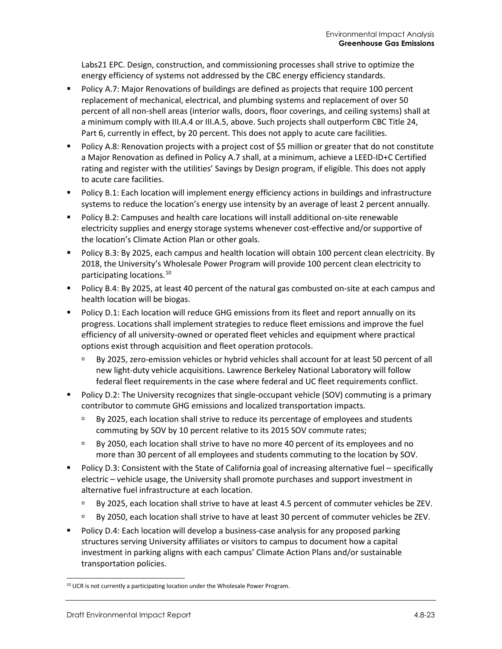Labs21 EPC. Design, construction, and commissioning processes shall strive to optimize the energy efficiency of systems not addressed by the CBC energy efficiency standards.

- Policy A.7: Major Renovations of buildings are defined as projects that require 100 percent replacement of mechanical, electrical, and plumbing systems and replacement of over 50 percent of all non-shell areas (interior walls, doors, floor coverings, and ceiling systems) shall at a minimum comply with III.A.4 or III.A.5, above. Such projects shall outperform CBC Title 24, Part 6, currently in effect, by 20 percent. This does not apply to acute care facilities.
- Policy A.8: Renovation projects with a project cost of \$5 million or greater that do not constitute a Major Renovation as defined in Policy A.7 shall, at a minimum, achieve a LEED-ID+C Certified rating and register with the utilities' Savings by Design program, if eligible. This does not apply to acute care facilities.
- **Policy B.1: Each location will implement energy efficiency actions in buildings and infrastructure** systems to reduce the location's energy use intensity by an average of least 2 percent annually.
- **Policy B.2: Campuses and health care locations will install additional on-site renewable** electricity supplies and energy storage systems whenever cost-effective and/or supportive of the location's Climate Action Plan or other goals.
- Policy B.3: By 2025, each campus and health location will obtain 100 percent clean electricity. By 2018, the University's Wholesale Power Program will provide 100 percent clean electricity to participating locations.[10](#page-22-0)
- **Policy B.4: By 2025, at least 40 percent of the natural gas combusted on-site at each campus and** health location will be biogas.
- Policy D.1: Each location will reduce GHG emissions from its fleet and report annually on its progress. Locations shall implement strategies to reduce fleet emissions and improve the fuel efficiency of all university-owned or operated fleet vehicles and equipment where practical options exist through acquisition and fleet operation protocols.
	- By 2025, zero-emission vehicles or hybrid vehicles shall account for at least 50 percent of all new light-duty vehicle acquisitions. Lawrence Berkeley National Laboratory will follow federal fleet requirements in the case where federal and UC fleet requirements conflict.
- Policy D.2: The University recognizes that single-occupant vehicle (SOV) commuting is a primary contributor to commute GHG emissions and localized transportation impacts.
	- **By 2025, each location shall strive to reduce its percentage of employees and students** commuting by SOV by 10 percent relative to its 2015 SOV commute rates;
	- By 2050, each location shall strive to have no more 40 percent of its employees and no more than 30 percent of all employees and students commuting to the location by SOV.
- Policy D.3: Consistent with the State of California goal of increasing alternative fuel specifically electric – vehicle usage, the University shall promote purchases and support investment in alternative fuel infrastructure at each location.
	- By 2025, each location shall strive to have at least 4.5 percent of commuter vehicles be ZEV.
	- By 2050, each location shall strive to have at least 30 percent of commuter vehicles be ZEV.
- Policy D.4: Each location will develop a business-case analysis for any proposed parking structures serving University affiliates or visitors to campus to document how a capital investment in parking aligns with each campus' Climate Action Plans and/or sustainable transportation policies.

<span id="page-22-0"></span><sup>&</sup>lt;sup>10</sup> UCR is not currently a participating location under the Wholesale Power Program.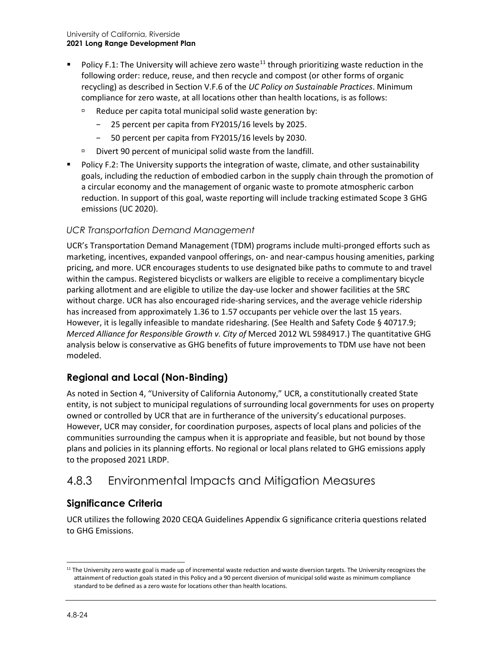- Policy F.1: The University will achieve zero waste<sup>[11](#page-23-0)</sup> through prioritizing waste reduction in the following order: reduce, reuse, and then recycle and compost (or other forms of organic recycling) as described in Section V.F.6 of the *UC Policy on Sustainable Practices*. Minimum compliance for zero waste, at all locations other than health locations, is as follows:
	- $\Box$  Reduce per capita total municipal solid waste generation by:
		- − 25 percent per capita from FY2015/16 levels by 2025.
		- − 50 percent per capita from FY2015/16 levels by 2030.
	- □ Divert 90 percent of municipal solid waste from the landfill.
- Policy F.2: The University supports the integration of waste, climate, and other sustainability goals, including the reduction of embodied carbon in the supply chain through the promotion of a circular economy and the management of organic waste to promote atmospheric carbon reduction. In support of this goal, waste reporting will include tracking estimated Scope 3 GHG emissions (UC 2020).

### *UCR Transportation Demand Management*

UCR's Transportation Demand Management (TDM) programs include multi-pronged efforts such as marketing, incentives, expanded vanpool offerings, on- and near-campus housing amenities, parking pricing, and more. UCR encourages students to use designated bike paths to commute to and travel within the campus. Registered bicyclists or walkers are eligible to receive a complimentary bicycle parking allotment and are eligible to utilize the day-use locker and shower facilities at the SRC without charge. UCR has also encouraged ride-sharing services, and the average vehicle ridership has increased from approximately 1.36 to 1.57 occupants per vehicle over the last 15 years. However, it is legally infeasible to mandate ridesharing. (See Health and Safety Code § 40717.9; *Merced Alliance for Responsible Growth v. City of* Merced 2012 WL 5984917.) The quantitative GHG analysis below is conservative as GHG benefits of future improvements to TDM use have not been modeled.

### **Regional and Local (Non-Binding)**

As noted in Section 4, "University of California Autonomy," UCR, a constitutionally created State entity, is not subject to municipal regulations of surrounding local governments for uses on property owned or controlled by UCR that are in furtherance of the university's educational purposes. However, UCR may consider, for coordination purposes, aspects of local plans and policies of the communities surrounding the campus when it is appropriate and feasible, but not bound by those plans and policies in its planning efforts. No regional or local plans related to GHG emissions apply to the proposed 2021 LRDP.

## 4.8.3 Environmental Impacts and Mitigation Measures

### **Significance Criteria**

UCR utilizes the following 2020 CEQA Guidelines Appendix G significance criteria questions related to GHG Emissions.

<span id="page-23-0"></span><sup>&</sup>lt;sup>11</sup> The University zero waste goal is made up of incremental waste reduction and waste diversion targets. The University recognizes the attainment of reduction goals stated in this Policy and a 90 percent diversion of municipal solid waste as minimum compliance standard to be defined as a zero waste for locations other than health locations.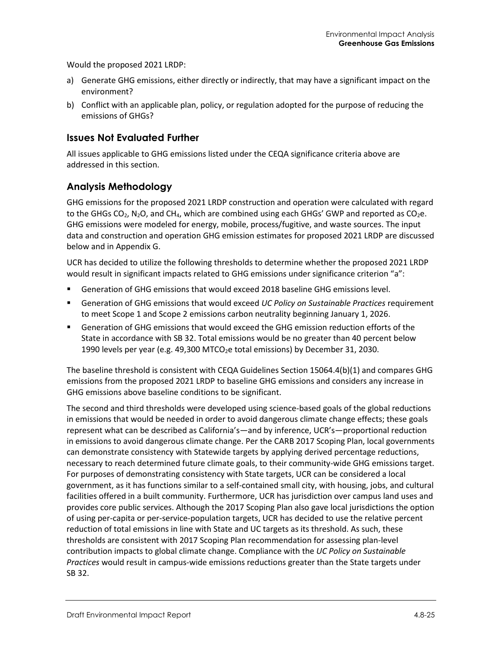Would the proposed 2021 LRDP:

- a) Generate GHG emissions, either directly or indirectly, that may have a significant impact on the environment?
- b) Conflict with an applicable plan, policy, or regulation adopted for the purpose of reducing the emissions of GHGs?

### **Issues Not Evaluated Further**

All issues applicable to GHG emissions listed under the CEQA significance criteria above are addressed in this section.

### **Analysis Methodology**

GHG emissions for the proposed 2021 LRDP construction and operation were calculated with regard to the GHGs  $CO<sub>2</sub>$ , N<sub>2</sub>O, and CH<sub>4</sub>, which are combined using each GHGs' GWP and reported as  $CO<sub>2</sub>e$ . GHG emissions were modeled for energy, mobile, process/fugitive, and waste sources. The input data and construction and operation GHG emission estimates for proposed 2021 LRDP are discussed below and in Appendix G.

UCR has decided to utilize the following thresholds to determine whether the proposed 2021 LRDP would result in significant impacts related to GHG emissions under significance criterion "a":

- Generation of GHG emissions that would exceed 2018 baseline GHG emissions level.
- Generation of GHG emissions that would exceed *UC Policy on Sustainable Practices* requirement to meet Scope 1 and Scope 2 emissions carbon neutrality beginning January 1, 2026.
- Generation of GHG emissions that would exceed the GHG emission reduction efforts of the State in accordance with SB 32. Total emissions would be no greater than 40 percent below 1990 levels per year (e.g. 49,300 MTCO<sub>2</sub>e total emissions) by December 31, 2030.

The baseline threshold is consistent with CEQA Guidelines Section 15064.4(b)(1) and compares GHG emissions from the proposed 2021 LRDP to baseline GHG emissions and considers any increase in GHG emissions above baseline conditions to be significant.

The second and third thresholds were developed using science-based goals of the global reductions in emissions that would be needed in order to avoid dangerous climate change effects; these goals represent what can be described as California's—and by inference, UCR's—proportional reduction in emissions to avoid dangerous climate change. Per the CARB 2017 Scoping Plan, local governments can demonstrate consistency with Statewide targets by applying derived percentage reductions, necessary to reach determined future climate goals, to their community-wide GHG emissions target. For purposes of demonstrating consistency with State targets, UCR can be considered a local government, as it has functions similar to a self-contained small city, with housing, jobs, and cultural facilities offered in a built community. Furthermore, UCR has jurisdiction over campus land uses and provides core public services. Although the 2017 Scoping Plan also gave local jurisdictions the option of using per-capita or per-service-population targets, UCR has decided to use the relative percent reduction of total emissions in line with State and UC targets as its threshold. As such, these thresholds are consistent with 2017 Scoping Plan recommendation for assessing plan-level contribution impacts to global climate change. Compliance with the *UC Policy on Sustainable Practices* would result in campus-wide emissions reductions greater than the State targets under SB 32.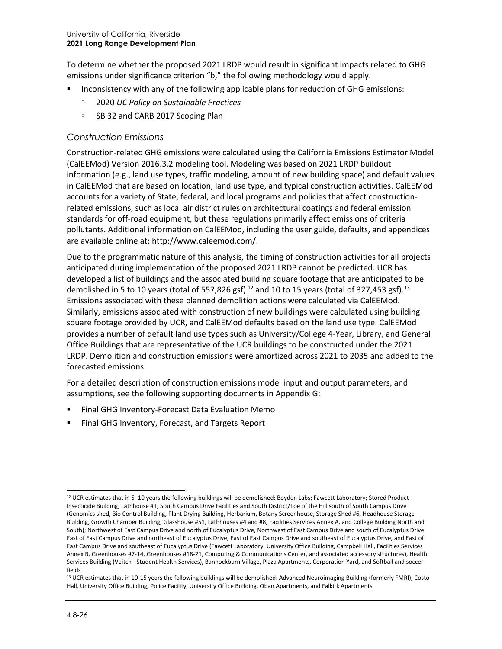To determine whether the proposed 2021 LRDP would result in significant impacts related to GHG emissions under significance criterion "b," the following methodology would apply.

- Inconsistency with any of the following applicable plans for reduction of GHG emissions:
	- 2020 *UC Policy on Sustainable Practices*
	- □ SB 32 and CARB 2017 Scoping Plan

#### *Construction Emissions*

Construction-related GHG emissions were calculated using the California Emissions Estimator Model (CalEEMod) Version 2016.3.2 modeling tool. Modeling was based on 2021 LRDP buildout information (e.g., land use types, traffic modeling, amount of new building space) and default values in CalEEMod that are based on location, land use type, and typical construction activities. CalEEMod accounts for a variety of State, federal, and local programs and policies that affect constructionrelated emissions, such as local air district rules on architectural coatings and federal emission standards for off-road equipment, but these regulations primarily affect emissions of criteria pollutants. Additional information on CalEEMod, including the user guide, defaults, and appendices are available online at: [http://www.caleemod.com/.](http://www.caleemod.com/)

Due to the programmatic nature of this analysis, the timing of construction activities for all projects anticipated during implementation of the proposed 2021 LRDP cannot be predicted. UCR has developed a list of buildings and the associated building square footage that are anticipated to be demolished in 5 to 10 years (total of 557,826 gsf)  $^{12}$  $^{12}$  $^{12}$  and 10 to 15 years (total of 327,453 gsf).  $^{13}$  $^{13}$  $^{13}$ Emissions associated with these planned demolition actions were calculated via CalEEMod. Similarly, emissions associated with construction of new buildings were calculated using building square footage provided by UCR, and CalEEMod defaults based on the land use type. CalEEMod provides a number of default land use types such as University/College 4-Year, Library, and General Office Buildings that are representative of the UCR buildings to be constructed under the 2021 LRDP. Demolition and construction emissions were amortized across 2021 to 2035 and added to the forecasted emissions.

For a detailed description of construction emissions model input and output parameters, and assumptions, see the following supporting documents in Appendix G:

- Final GHG Inventory-Forecast Data Evaluation Memo
- Final GHG Inventory, Forecast, and Targets Report

<span id="page-25-0"></span> $12$  UCR estimates that in 5–10 years the following buildings will be demolished: Boyden Labs; Fawcett Laboratory; Stored Product Insecticide Building; Lathhouse #1; South Campus Drive Facilities and South District/Toe of the Hill south of South Campus Drive (Genomics shed, Bio Control Building, Plant Drying Building, Herbarium, Botany Screenhouse, Storage Shed #6, Headhouse Storage Building, Growth Chamber Building, Glasshouse #51, Lathhouses #4 and #8, Facilities Services Annex A, and College Building North and South); Northwest of East Campus Drive and north of Eucalyptus Drive, Northwest of East Campus Drive and south of Eucalyptus Drive, East of East Campus Drive and northeast of Eucalyptus Drive, East of East Campus Drive and southeast of Eucalyptus Drive, and East of East Campus Drive and southeast of Eucalyptus Drive (Fawcett Laboratory, University Office Building, Campbell Hall, Facilities Services Annex B, Greenhouses #7-14, Greenhouses #18-21, Computing & Communications Center, and associated accessory structures), Health Services Building (Veitch - Student Health Services), Bannockburn Village, Plaza Apartments, Corporation Yard, and Softball and soccer fields

<span id="page-25-1"></span><sup>&</sup>lt;sup>13</sup> UCR estimates that in 10-15 years the following buildings will be demolished: Advanced Neuroimaging Building (formerly FMRI), Costo Hall, University Office Building, Police Facility, University Office Building, Oban Apartments, and Falkirk Apartments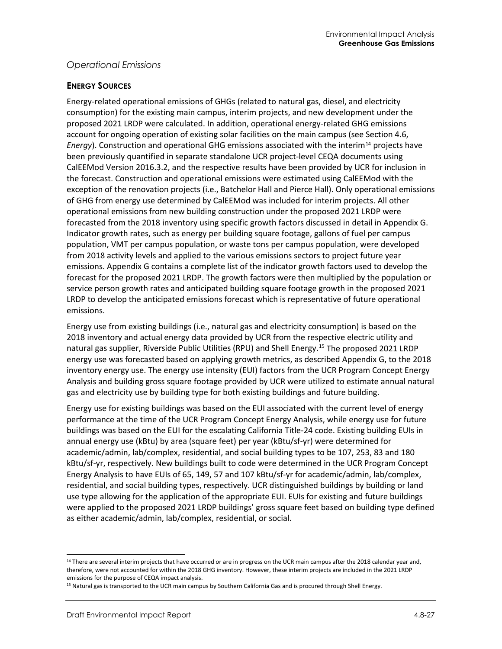### *Operational Emissions*

#### **ENERGY SOURCES**

Energy-related operational emissions of GHGs (related to natural gas, diesel, and electricity consumption) for the existing main campus, interim projects, and new development under the proposed 2021 LRDP were calculated. In addition, operational energy-related GHG emissions account for ongoing operation of existing solar facilities on the main campus (see Section 4.6, *Energy*). Construction and operational GHG emissions associated with the interim<sup>[14](#page-26-0)</sup> projects have been previously quantified in separate standalone UCR project-level CEQA documents using CalEEMod Version 2016.3.2, and the respective results have been provided by UCR for inclusion in the forecast. Construction and operational emissions were estimated using CalEEMod with the exception of the renovation projects (i.e., Batchelor Hall and Pierce Hall). Only operational emissions of GHG from energy use determined by CalEEMod was included for interim projects. All other operational emissions from new building construction under the proposed 2021 LRDP were forecasted from the 2018 inventory using specific growth factors discussed in detail in Appendix G. Indicator growth rates, such as energy per building square footage, gallons of fuel per campus population, VMT per campus population, or waste tons per campus population, were developed from 2018 activity levels and applied to the various emissions sectors to project future year emissions. Appendix G contains a complete list of the indicator growth factors used to develop the forecast for the proposed 2021 LRDP. The growth factors were then multiplied by the population or service person growth rates and anticipated building square footage growth in the proposed 2021 LRDP to develop the anticipated emissions forecast which is representative of future operational emissions.

Energy use from existing buildings (i.e., natural gas and electricity consumption) is based on the 2018 inventory and actual energy data provided by UCR from the respective electric utility and natural gas supplier, Riverside Public Utilities (RPU) and Shell Energy.<sup>[15](#page-26-1)</sup> The proposed 2021 LRDP energy use was forecasted based on applying growth metrics, as described Appendix G, to the 2018 inventory energy use. The energy use intensity (EUI) factors from the UCR Program Concept Energy Analysis and building gross square footage provided by UCR were utilized to estimate annual natural gas and electricity use by building type for both existing buildings and future building.

Energy use for existing buildings was based on the EUI associated with the current level of energy performance at the time of the UCR Program Concept Energy Analysis, while energy use for future buildings was based on the EUI for the escalating California Title-24 code. Existing building EUIs in annual energy use (kBtu) by area (square feet) per year (kBtu/sf-yr) were determined for academic/admin, lab/complex, residential, and social building types to be 107, 253, 83 and 180 kBtu/sf-yr, respectively. New buildings built to code were determined in the UCR Program Concept Energy Analysis to have EUIs of 65, 149, 57 and 107 kBtu/sf-yr for academic/admin, lab/complex, residential, and social building types, respectively. UCR distinguished buildings by building or land use type allowing for the application of the appropriate EUI. EUIs for existing and future buildings were applied to the proposed 2021 LRDP buildings' gross square feet based on building type defined as either academic/admin, lab/complex, residential, or social.

<span id="page-26-0"></span><sup>&</sup>lt;sup>14</sup> There are several interim projects that have occurred or are in progress on the UCR main campus after the 2018 calendar year and, therefore, were not accounted for within the 2018 GHG inventory. However, these interim projects are included in the 2021 LRDP emissions for the purpose of CEQA impact analysis.

<span id="page-26-1"></span><sup>15</sup> Natural gas is transported to the UCR main campus by Southern California Gas and is procured through Shell Energy.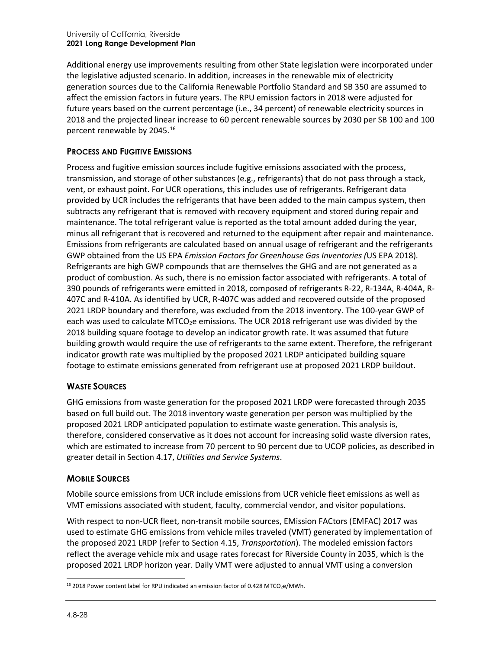Additional energy use improvements resulting from other State legislation were incorporated under the legislative adjusted scenario. In addition, increases in the renewable mix of electricity generation sources due to the California Renewable Portfolio Standard and SB 350 are assumed to affect the emission factors in future years. The RPU emission factors in 2018 were adjusted for future years based on the current percentage (i.e., 34 percent) of renewable electricity sources in 2018 and the projected linear increase to 60 percent renewable sources by 2030 per SB 100 and 100 percent renewable by 2045.<sup>[16](#page-27-0)</sup>

### **PROCESS AND FUGITIVE EMISSIONS**

Process and fugitive emission sources include fugitive emissions associated with the process, transmission, and storage of other substances (e.g., refrigerants) that do not pass through a stack, vent, or exhaust point. For UCR operations, this includes use of refrigerants. Refrigerant data provided by UCR includes the refrigerants that have been added to the main campus system, then subtracts any refrigerant that is removed with recovery equipment and stored during repair and maintenance. The total refrigerant value is reported as the total amount added during the year, minus all refrigerant that is recovered and returned to the equipment after repair and maintenance. Emissions from refrigerants are calculated based on annual usage of refrigerant and the refrigerants GWP obtained from the US EPA *Emission Factors for Greenhouse Gas Inventories (*US EPA 2018)*.* Refrigerants are high GWP compounds that are themselves the GHG and are not generated as a product of combustion. As such, there is no emission factor associated with refrigerants. A total of 390 pounds of refrigerants were emitted in 2018, composed of refrigerants R-22, R-134A, R-404A, R-407C and R-410A. As identified by UCR, R-407C was added and recovered outside of the proposed 2021 LRDP boundary and therefore, was excluded from the 2018 inventory. The 100-year GWP of each was used to calculate MTCO<sub>2</sub>e emissions. The UCR 2018 refrigerant use was divided by the 2018 building square footage to develop an indicator growth rate. It was assumed that future building growth would require the use of refrigerants to the same extent. Therefore, the refrigerant indicator growth rate was multiplied by the proposed 2021 LRDP anticipated building square footage to estimate emissions generated from refrigerant use at proposed 2021 LRDP buildout.

### **WASTE SOURCES**

GHG emissions from waste generation for the proposed 2021 LRDP were forecasted through 2035 based on full build out. The 2018 inventory waste generation per person was multiplied by the proposed 2021 LRDP anticipated population to estimate waste generation. This analysis is, therefore, considered conservative as it does not account for increasing solid waste diversion rates, which are estimated to increase from 70 percent to 90 percent due to UCOP policies, as described in greater detail in Section 4.17, *Utilities and Service Systems*.

### **MOBILE SOURCES**

Mobile source emissions from UCR include emissions from UCR vehicle fleet emissions as well as VMT emissions associated with student, faculty, commercial vendor, and visitor populations.

With respect to non-UCR fleet, non-transit mobile sources, EMission FACtors (EMFAC) 2017 was used to estimate GHG emissions from vehicle miles traveled (VMT) generated by implementation of the proposed 2021 LRDP (refer to Section 4.15, *Transportation*). The modeled emission factors reflect the average vehicle mix and usage rates forecast for Riverside County in 2035, which is the proposed 2021 LRDP horizon year. Daily VMT were adjusted to annual VMT using a conversion

<span id="page-27-0"></span> $16$  2018 Power content label for RPU indicated an emission factor of 0.428 MTCO<sub>2</sub>e/MWh.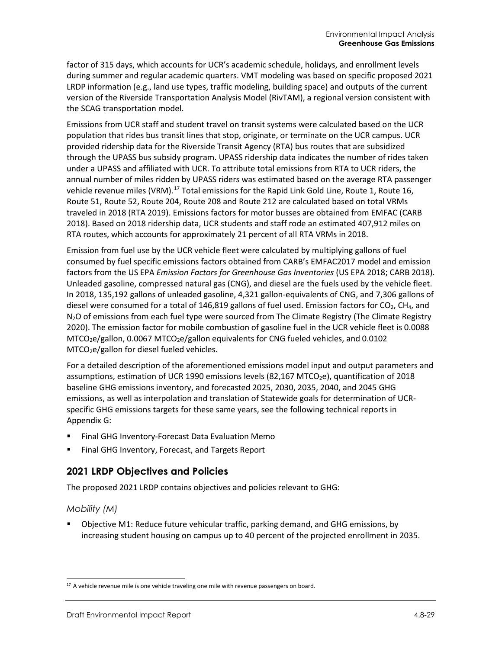factor of 315 days, which accounts for UCR's academic schedule, holidays, and enrollment levels during summer and regular academic quarters. VMT modeling was based on specific proposed 2021 LRDP information (e.g., land use types, traffic modeling, building space) and outputs of the current version of the Riverside Transportation Analysis Model (RivTAM), a regional version consistent with the SCAG transportation model.

Emissions from UCR staff and student travel on transit systems were calculated based on the UCR population that rides bus transit lines that stop, originate, or terminate on the UCR campus. UCR provided ridership data for the Riverside Transit Agency (RTA) bus routes that are subsidized through the UPASS bus subsidy program. UPASS ridership data indicates the number of rides taken under a UPASS and affiliated with UCR. To attribute total emissions from RTA to UCR riders, the annual number of miles ridden by UPASS riders was estimated based on the average RTA passenger vehicle revenue miles (VRM).<sup>[17](#page-28-0)</sup> Total emissions for the Rapid Link Gold Line, Route 1, Route 16, Route 51, Route 52, Route 204, Route 208 and Route 212 are calculated based on total VRMs traveled in 2018 (RTA 2019). Emissions factors for motor busses are obtained from EMFAC (CARB 2018). Based on 2018 ridership data, UCR students and staff rode an estimated 407,912 miles on RTA routes, which accounts for approximately 21 percent of all RTA VRMs in 2018.

Emission from fuel use by the UCR vehicle fleet were calculated by multiplying gallons of fuel consumed by fuel specific emissions factors obtained from CARB's EMFAC2017 model and emission factors from the US EPA *Emission Factors for Greenhouse Gas Inventories* (US EPA 2018; CARB 2018). Unleaded gasoline, compressed natural gas (CNG), and diesel are the fuels used by the vehicle fleet. In 2018, 135,192 gallons of unleaded gasoline, 4,321 gallon-equivalents of CNG, and 7,306 gallons of diesel were consumed for a total of 146,819 gallons of fuel used. Emission factors for  $CO<sub>2</sub>$ , CH<sub>4</sub>, and N<sub>2</sub>O of emissions from each fuel type were sourced from The Climate Registry (The Climate Registry 2020). The emission factor for mobile combustion of gasoline fuel in the UCR vehicle fleet is 0.0088  $MTCO<sub>2</sub>e/gallon, 0.0067 MTCO<sub>2</sub>e/gallon equivalents for CNG fueled vehicles, and 0.0102$ MTCO<sub>2</sub>e/gallon for diesel fueled vehicles.

For a detailed description of the aforementioned emissions model input and output parameters and assumptions, estimation of UCR 1990 emissions levels (82,167 MTCO<sub>2</sub>e), quantification of 2018 baseline GHG emissions inventory, and forecasted 2025, 2030, 2035, 2040, and 2045 GHG emissions, as well as interpolation and translation of Statewide goals for determination of UCRspecific GHG emissions targets for these same years, see the following technical reports in Appendix G:

- Final GHG Inventory-Forecast Data Evaluation Memo
- Final GHG Inventory, Forecast, and Targets Report

### **2021 LRDP Objectives and Policies**

The proposed 2021 LRDP contains objectives and policies relevant to GHG:

### *Mobility (M)*

 Objective M1: Reduce future vehicular traffic, parking demand, and GHG emissions, by increasing student housing on campus up to 40 percent of the projected enrollment in 2035.

<span id="page-28-0"></span><sup>&</sup>lt;sup>17</sup> A vehicle revenue mile is one vehicle traveling one mile with revenue passengers on board.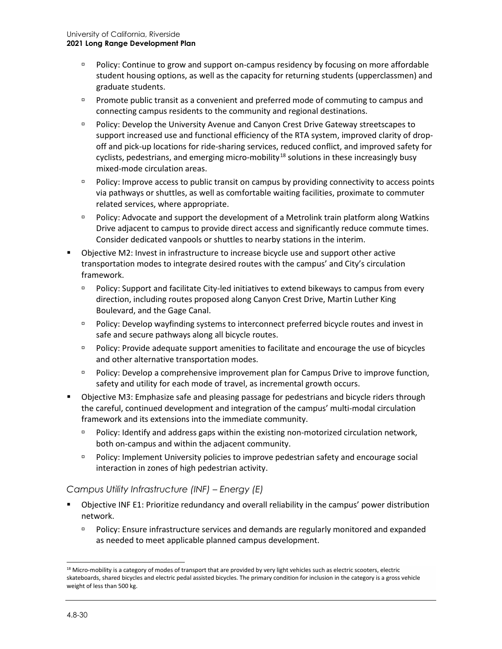- Policy: Continue to grow and support on-campus residency by focusing on more affordable student housing options, as well as the capacity for returning students (upperclassmen) and graduate students.
- **Promote public transit as a convenient and preferred mode of commuting to campus and** connecting campus residents to the community and regional destinations.
- Policy: Develop the University Avenue and Canyon Crest Drive Gateway streetscapes to support increased use and functional efficiency of the RTA system, improved clarity of dropoff and pick-up locations for ride-sharing services, reduced conflict, and improved safety for cyclists, pedestrians, and emerging micro-mobility<sup>[18](#page-29-0)</sup> solutions in these increasingly busy mixed-mode circulation areas.
- Policy: Improve access to public transit on campus by providing connectivity to access points via pathways or shuttles, as well as comfortable waiting facilities, proximate to commuter related services, where appropriate.
- Policy: Advocate and support the development of a Metrolink train platform along Watkins Drive adjacent to campus to provide direct access and significantly reduce commute times. Consider dedicated vanpools or shuttles to nearby stations in the interim.
- Objective M2: Invest in infrastructure to increase bicycle use and support other active transportation modes to integrate desired routes with the campus' and City's circulation framework.
	- Policy: Support and facilitate City-led initiatives to extend bikeways to campus from every direction, including routes proposed along Canyon Crest Drive, Martin Luther King Boulevard, and the Gage Canal.
	- Policy: Develop wayfinding systems to interconnect preferred bicycle routes and invest in safe and secure pathways along all bicycle routes.
	- Policy: Provide adequate support amenities to facilitate and encourage the use of bicycles and other alternative transportation modes.
	- Policy: Develop a comprehensive improvement plan for Campus Drive to improve function, safety and utility for each mode of travel, as incremental growth occurs.
- Objective M3: Emphasize safe and pleasing passage for pedestrians and bicycle riders through the careful, continued development and integration of the campus' multi-modal circulation framework and its extensions into the immediate community.
	- Policy: Identify and address gaps within the existing non-motorized circulation network, both on-campus and within the adjacent community.
	- Policy: Implement University policies to improve pedestrian safety and encourage social interaction in zones of high pedestrian activity.

### *Campus Utility Infrastructure (INF) – Energy (E)*

- Objective INF E1: Prioritize redundancy and overall reliability in the campus' power distribution network.
	- Policy: Ensure infrastructure services and demands are regularly monitored and expanded as needed to meet applicable planned campus development.

<span id="page-29-0"></span> $18$  Micro-mobility is a category of modes of transport that are provided by very light vehicles such as electric scooters, electric skateboards, shared bicycles and electric pedal assisted bicycles. The primary condition for inclusion in the category is a gross vehicle weight of less than 500 kg.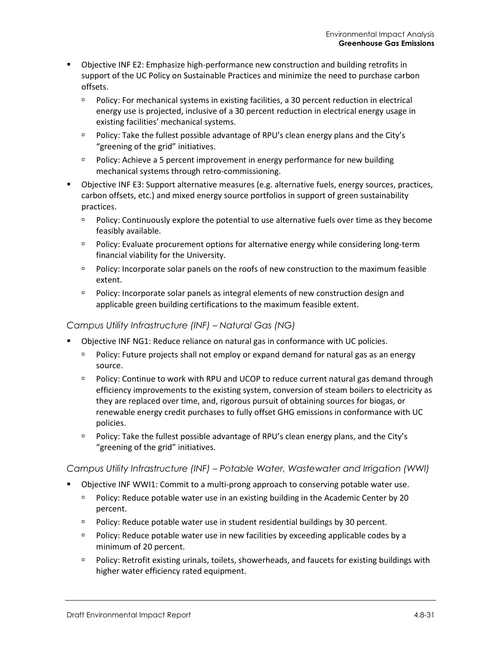- Objective INF E2: Emphasize high-performance new construction and building retrofits in support of the UC Policy on Sustainable Practices and minimize the need to purchase carbon offsets.
	- Policy: For mechanical systems in existing facilities, a 30 percent reduction in electrical energy use is projected, inclusive of a 30 percent reduction in electrical energy usage in existing facilities' mechanical systems.
	- □ Policy: Take the fullest possible advantage of RPU's clean energy plans and the City's "greening of the grid" initiatives.
	- **Policy:** Achieve a 5 percent improvement in energy performance for new building mechanical systems through retro-commissioning.
- Objective INF E3: Support alternative measures (e.g. alternative fuels, energy sources, practices, carbon offsets, etc.) and mixed energy source portfolios in support of green sustainability practices.
	- **Policy: Continuously explore the potential to use alternative fuels over time as they become** feasibly available.
	- Policy: Evaluate procurement options for alternative energy while considering long-term financial viability for the University.
	- Policy: Incorporate solar panels on the roofs of new construction to the maximum feasible extent.
	- Policy: Incorporate solar panels as integral elements of new construction design and applicable green building certifications to the maximum feasible extent.

#### *Campus Utility Infrastructure (INF) – Natural Gas (NG)*

- Objective INF NG1: Reduce reliance on natural gas in conformance with UC policies.
	- Policy: Future projects shall not employ or expand demand for natural gas as an energy source.
	- Policy: Continue to work with RPU and UCOP to reduce current natural gas demand through efficiency improvements to the existing system, conversion of steam boilers to electricity as they are replaced over time, and, rigorous pursuit of obtaining sources for biogas, or renewable energy credit purchases to fully offset GHG emissions in conformance with UC policies.
	- Policy: Take the fullest possible advantage of RPU's clean energy plans, and the City's "greening of the grid" initiatives.

### *Campus Utility Infrastructure (INF) – Potable Water, Wastewater and Irrigation (WWI)*

- Objective INF WWI1: Commit to a multi-prong approach to conserving potable water use.
	- **Policy: Reduce potable water use in an existing building in the Academic Center by 20** percent.
	- **Policy: Reduce potable water use in student residential buildings by 30 percent.**
	- Policy: Reduce potable water use in new facilities by exceeding applicable codes by a minimum of 20 percent.
	- Policy: Retrofit existing urinals, toilets, showerheads, and faucets for existing buildings with higher water efficiency rated equipment.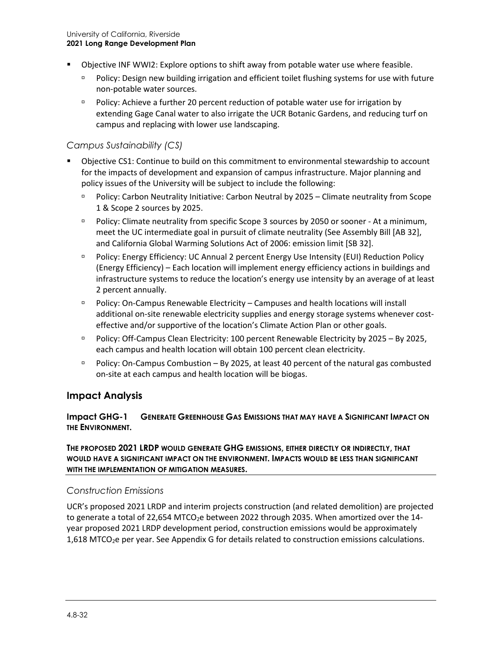- Objective INF WWI2: Explore options to shift away from potable water use where feasible.
	- Policy: Design new building irrigation and efficient toilet flushing systems for use with future non-potable water sources.
	- Policy: Achieve a further 20 percent reduction of potable water use for irrigation by extending Gage Canal water to also irrigate the UCR Botanic Gardens, and reducing turf on campus and replacing with lower use landscaping.

### *Campus Sustainability (CS)*

- Objective CS1: Continue to build on this commitment to environmental stewardship to account for the impacts of development and expansion of campus infrastructure. Major planning and policy issues of the University will be subject to include the following:
	- Policy: Carbon Neutrality Initiative: Carbon Neutral by 2025 Climate neutrality from Scope 1 & Scope 2 sources by 2025.
	- Policy: Climate neutrality from specific Scope 3 sources by 2050 or sooner At a minimum, meet the UC intermediate goal in pursuit of climate neutrality (See Assembly Bill [AB 32], and California Global Warming Solutions Act of 2006: emission limit [SB 32].
	- Policy: Energy Efficiency: UC Annual 2 percent Energy Use Intensity (EUI) Reduction Policy (Energy Efficiency) – Each location will implement energy efficiency actions in buildings and infrastructure systems to reduce the location's energy use intensity by an average of at least 2 percent annually.
	- Policy: On-Campus Renewable Electricity Campuses and health locations will install additional on-site renewable electricity supplies and energy storage systems whenever costeffective and/or supportive of the location's Climate Action Plan or other goals.
	- Policy: Off-Campus Clean Electricity: 100 percent Renewable Electricity by 2025 By 2025, each campus and health location will obtain 100 percent clean electricity.
	- $P$  Policy: On-Campus Combustion By 2025, at least 40 percent of the natural gas combusted on-site at each campus and health location will be biogas.

### **Impact Analysis**

#### **Impact GHG-1 GENERATE GREENHOUSE GAS EMISSIONS THAT MAY HAVE A SIGNIFICANT IMPACT ON THE ENVIRONMENT.**

**THE PROPOSED 2021 LRDP WOULD GENERATE GHG EMISSIONS, EITHER DIRECTLY OR INDIRECTLY, THAT WOULD HAVE A SIGNIFICANT IMPACT ON THE ENVIRONMENT. IMPACTS WOULD BE LESS THAN SIGNIFICANT WITH THE IMPLEMENTATION OF MITIGATION MEASURES.**

### *Construction Emissions*

UCR's proposed 2021 LRDP and interim projects construction (and related demolition) are projected to generate a total of 22,654 MTCO<sub>2</sub>e between 2022 through 2035. When amortized over the 14year proposed 2021 LRDP development period, construction emissions would be approximately  $1,618$  MTCO<sub>2</sub>e per year. See Appendix G for details related to construction emissions calculations.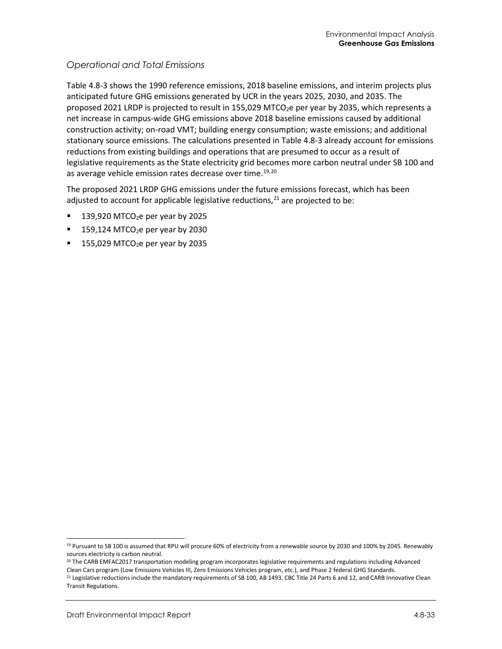### *Operational and Total Emissions*

[Table 4.8-3](#page-33-0) shows the 1990 reference emissions, 2018 baseline emissions, and interim projects plus anticipated future GHG emissions generated by UCR in the years 2025, 2030, and 2035. The proposed 2021 LRDP is projected to result in 155,029 MTCO<sub>2</sub>e per year by 2035, which represents a net increase in campus-wide GHG emissions above 2018 baseline emissions caused by additional construction activity; on-road VMT; building energy consumption; waste emissions; and additional stationary source emissions. The calculations presented i[n Table 4.8-3](#page-33-0) already account for emissions reductions from existing buildings and operations that are presumed to occur as a result of legislative requirements as the State electricity grid becomes more carbon neutral under SB 100 and as average vehicle emission rates decrease over time.<sup>[19](#page-32-0),[20](#page-32-1)</sup>

The proposed 2021 LRDP GHG emissions under the future emissions forecast, which has been adjusted to account for applicable legislative reductions,<sup>[21](#page-32-2)</sup> are projected to be:

- 139,920 MTCO $2e$  per year by 2025
- $159,124$  MTCO<sub>2</sub>e per year by 2030
- $155,029$  MTCO<sub>2</sub>e per year by 2035

<span id="page-32-0"></span><sup>&</sup>lt;sup>19</sup> Pursuant to SB 100 is assumed that RPU will procure 60% of electricity from a renewable source by 2030 and 100% by 2045. Renewably sources electricity is carbon neutral.

<span id="page-32-1"></span><sup>&</sup>lt;sup>20</sup> The CARB EMFAC2017 transportation modeling program incorporates legislative requirements and regulations including Advanced Clean Cars program (Low Emissions Vehicles III, Zero Emissions Vehicles program, etc.), and Phase 2 federal GHG Standards.

<span id="page-32-2"></span><sup>&</sup>lt;sup>21</sup> Legislative reductions include the mandatory requirements of SB 100, AB 1493, CBC Title 24 Parts 6 and 12, and CARB Innovative Clean Transit Regulations.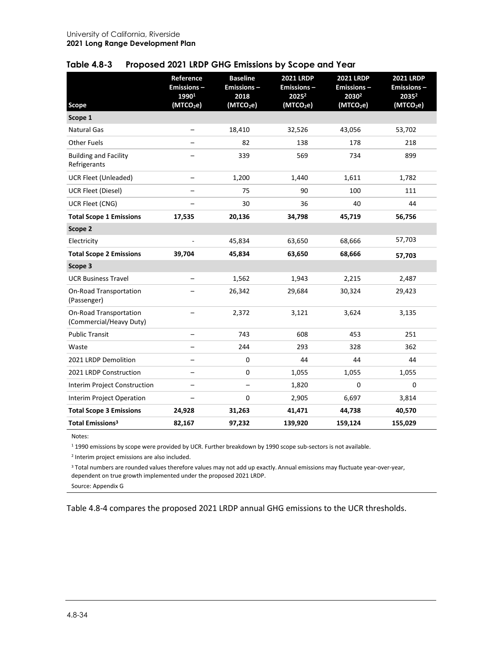| <b>Scope</b>                                      | Reference<br><b>Emissions-</b><br>19901<br>(MTCO <sub>2</sub> e) | <b>Baseline</b><br><b>Emissions-</b><br>2018<br>(MTCO <sub>2</sub> e) | <b>2021 LRDP</b><br><b>Emissions-</b><br>20252<br>(MTCO <sub>2</sub> e) | <b>2021 LRDP</b><br><b>Emissions-</b><br>2030 <sup>2</sup><br>(MTCO <sub>2</sub> e) | <b>2021 LRDP</b><br><b>Emissions-</b><br>20352<br>(MTCO <sub>2</sub> e) |
|---------------------------------------------------|------------------------------------------------------------------|-----------------------------------------------------------------------|-------------------------------------------------------------------------|-------------------------------------------------------------------------------------|-------------------------------------------------------------------------|
| Scope 1                                           |                                                                  |                                                                       |                                                                         |                                                                                     |                                                                         |
| <b>Natural Gas</b>                                | $\qquad \qquad -$                                                | 18,410                                                                | 32,526                                                                  | 43,056                                                                              | 53,702                                                                  |
| <b>Other Fuels</b>                                |                                                                  | 82                                                                    | 138                                                                     | 178                                                                                 | 218                                                                     |
| <b>Building and Facility</b><br>Refrigerants      |                                                                  | 339                                                                   | 569                                                                     | 734                                                                                 | 899                                                                     |
| <b>UCR Fleet (Unleaded)</b>                       |                                                                  | 1,200                                                                 | 1,440                                                                   | 1,611                                                                               | 1,782                                                                   |
| <b>UCR Fleet (Diesel)</b>                         |                                                                  | 75                                                                    | 90                                                                      | 100                                                                                 | 111                                                                     |
| UCR Fleet (CNG)                                   |                                                                  | 30                                                                    | 36                                                                      | 40                                                                                  | 44                                                                      |
| <b>Total Scope 1 Emissions</b>                    | 17,535                                                           | 20,136                                                                | 34,798                                                                  | 45,719                                                                              | 56,756                                                                  |
| Scope 2                                           |                                                                  |                                                                       |                                                                         |                                                                                     |                                                                         |
| Electricity                                       | $\overline{\phantom{a}}$                                         | 45,834                                                                | 63,650                                                                  | 68,666                                                                              | 57,703                                                                  |
| <b>Total Scope 2 Emissions</b>                    | 39,704                                                           | 45,834                                                                | 63,650                                                                  | 68,666                                                                              | 57,703                                                                  |
| Scope 3                                           |                                                                  |                                                                       |                                                                         |                                                                                     |                                                                         |
| <b>UCR Business Travel</b>                        |                                                                  | 1,562                                                                 | 1,943                                                                   | 2,215                                                                               | 2,487                                                                   |
| On-Road Transportation<br>(Passenger)             |                                                                  | 26,342                                                                | 29,684                                                                  | 30,324                                                                              | 29,423                                                                  |
| On-Road Transportation<br>(Commercial/Heavy Duty) |                                                                  | 2,372                                                                 | 3,121                                                                   | 3,624                                                                               | 3,135                                                                   |
| <b>Public Transit</b>                             |                                                                  | 743                                                                   | 608                                                                     | 453                                                                                 | 251                                                                     |
| Waste                                             |                                                                  | 244                                                                   | 293                                                                     | 328                                                                                 | 362                                                                     |
| 2021 LRDP Demolition                              |                                                                  | 0                                                                     | 44                                                                      | 44                                                                                  | 44                                                                      |
| 2021 LRDP Construction                            |                                                                  | 0                                                                     | 1,055                                                                   | 1,055                                                                               | 1,055                                                                   |
| Interim Project Construction                      | $\overline{\phantom{0}}$                                         |                                                                       | 1,820                                                                   | 0                                                                                   | 0                                                                       |
| <b>Interim Project Operation</b>                  |                                                                  | 0                                                                     | 2,905                                                                   | 6,697                                                                               | 3,814                                                                   |
| <b>Total Scope 3 Emissions</b>                    | 24,928                                                           | 31,263                                                                | 41,471                                                                  | 44,738                                                                              | 40,570                                                                  |
| <b>Total Emissions<sup>3</sup></b>                | 82,167                                                           | 97,232                                                                | 139,920                                                                 | 159,124                                                                             | 155,029                                                                 |

#### <span id="page-33-0"></span>**Table 4.8-3 Proposed 2021 LRDP GHG Emissions by Scope and Year**

Notes:

<sup>1</sup> 1990 emissions by scope were provided by UCR. Further breakdown by 1990 scope sub-sectors is not available.

<sup>2</sup> Interim project emissions are also included.

<sup>3</sup> Total numbers are rounded values therefore values may not add up exactly. Annual emissions may fluctuate year-over-year, dependent on true growth implemented under the proposed 2021 LRDP.

Source: Appendix G

[Table 4.8-4](#page-34-0) compares the proposed 2021 LRDP annual GHG emissions to the UCR thresholds.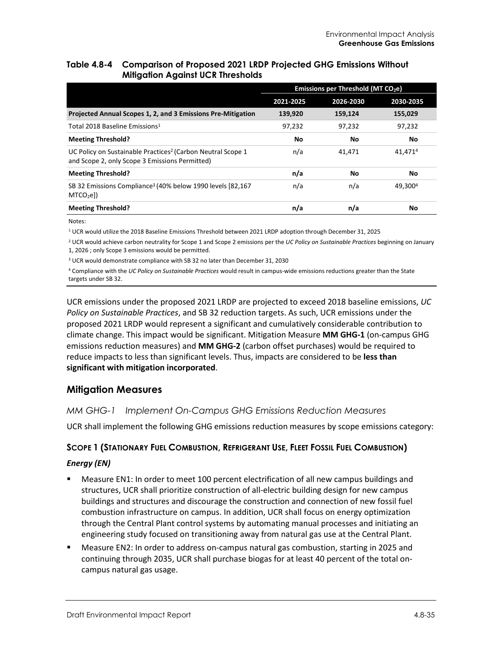#### <span id="page-34-0"></span>**Table 4.8-4 Comparison of Proposed 2021 LRDP Projected GHG Emissions Without Mitigation Against UCR Thresholds**

|                                                                                                                           | Emissions per Threshold (MT CO <sub>2</sub> e) |           |           |  |
|---------------------------------------------------------------------------------------------------------------------------|------------------------------------------------|-----------|-----------|--|
|                                                                                                                           | 2021-2025                                      | 2026-2030 | 2030-2035 |  |
| Projected Annual Scopes 1, 2, and 3 Emissions Pre-Mitigation                                                              | 139,920                                        | 159,124   | 155,029   |  |
| Total 2018 Baseline Emissions <sup>1</sup>                                                                                | 97.232                                         | 97.232    | 97.232    |  |
| <b>Meeting Threshold?</b>                                                                                                 | No                                             | Νo        | No        |  |
| UC Policy on Sustainable Practices <sup>2</sup> (Carbon Neutral Scope 1<br>and Scope 2, only Scope 3 Emissions Permitted) | n/a                                            | 41.471    | 41,4714   |  |
| <b>Meeting Threshold?</b>                                                                                                 | n/a                                            | No        | No        |  |
| SB 32 Emissions Compliance <sup>3</sup> (40% below 1990 levels [82,167]<br>MTCO <sub>2</sub> el)                          | n/a                                            | n/a       | 49.3004   |  |
| <b>Meeting Threshold?</b>                                                                                                 | n/a                                            | n/a       | No        |  |

Notes:

<sup>1</sup> UCR would utilize the 2018 Baseline Emissions Threshold between 2021 LRDP adoption through December 31, 2025

<sup>2</sup> UCR would achieve carbon neutrality for Scope 1 and Scope 2 emissions per the *UC Policy on Sustainable Practices* beginning on January 1, 2026 ; only Scope 3 emissions would be permitted.

<sup>3</sup> UCR would demonstrate compliance with SB 32 no later than December 31, 2030

<sup>4</sup> Compliance with the *UC Policy on Sustainable Practices* would result in campus-wide emissions reductions greater than the State targets under SB 32.

UCR emissions under the proposed 2021 LRDP are projected to exceed 2018 baseline emissions, *UC Policy on Sustainable Practices*, and SB 32 reduction targets. As such, UCR emissions under the proposed 2021 LRDP would represent a significant and cumulatively considerable contribution to climate change. This impact would be significant. Mitigation Measure **MM GHG-1** (on-campus GHG emissions reduction measures) and **MM GHG-2** (carbon offset purchases) would be required to reduce impacts to less than significant levels. Thus, impacts are considered to be **less than significant with mitigation incorporated**.

### **Mitigation Measures**

### *MM GHG-1 Implement On-Campus GHG Emissions Reduction Measures*

UCR shall implement the following GHG emissions reduction measures by scope emissions category:

### **SCOPE 1 (STATIONARY FUEL COMBUSTION, REFRIGERANT USE, FLEET FOSSIL FUEL COMBUSTION)**

#### *Energy (EN)*

- Measure EN1: In order to meet 100 percent electrification of all new campus buildings and structures, UCR shall prioritize construction of all-electric building design for new campus buildings and structures and discourage the construction and connection of new fossil fuel combustion infrastructure on campus. In addition, UCR shall focus on energy optimization through the Central Plant control systems by automating manual processes and initiating an engineering study focused on transitioning away from natural gas use at the Central Plant.
- Measure EN2: In order to address on-campus natural gas combustion, starting in 2025 and continuing through 2035, UCR shall purchase biogas for at least 40 percent of the total oncampus natural gas usage.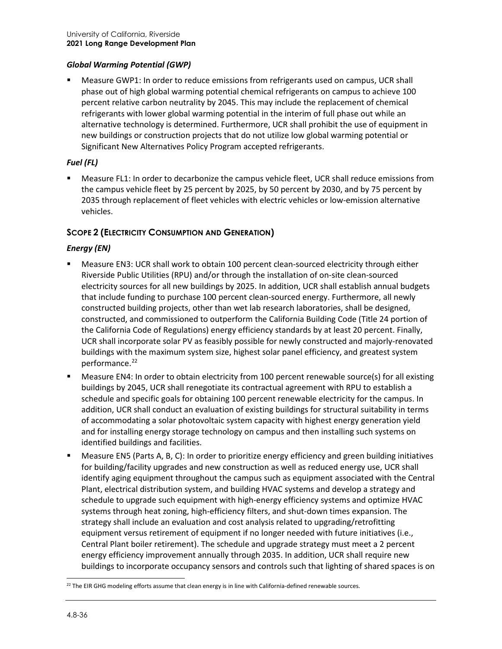#### *Global Warming Potential (GWP)*

 Measure GWP1: In order to reduce emissions from refrigerants used on campus, UCR shall phase out of high global warming potential chemical refrigerants on campus to achieve 100 percent relative carbon neutrality by 2045. This may include the replacement of chemical refrigerants with lower global warming potential in the interim of full phase out while an alternative technology is determined. Furthermore, UCR shall prohibit the use of equipment in new buildings or construction projects that do not utilize low global warming potential or Significant New Alternatives Policy Program accepted refrigerants.

#### *Fuel (FL)*

 Measure FL1: In order to decarbonize the campus vehicle fleet, UCR shall reduce emissions from the campus vehicle fleet by 25 percent by 2025, by 50 percent by 2030, and by 75 percent by 2035 through replacement of fleet vehicles with electric vehicles or low-emission alternative vehicles.

### **SCOPE 2 (ELECTRICITY CONSUMPTION AND GENERATION)**

#### *Energy (EN)*

- Measure EN3: UCR shall work to obtain 100 percent clean-sourced electricity through either Riverside Public Utilities (RPU) and/or through the installation of on-site clean-sourced electricity sources for all new buildings by 2025. In addition, UCR shall establish annual budgets that include funding to purchase 100 percent clean-sourced energy. Furthermore, all newly constructed building projects, other than wet lab research laboratories, shall be designed, constructed, and commissioned to outperform the California Building Code (Title 24 portion of the California Code of Regulations) energy efficiency standards by at least 20 percent. Finally, UCR shall incorporate solar PV as feasibly possible for newly constructed and majorly-renovated buildings with the maximum system size, highest solar panel efficiency, and greatest system performance.<sup>[22](#page-35-0)</sup>
- Measure EN4: In order to obtain electricity from 100 percent renewable source(s) for all existing buildings by 2045, UCR shall renegotiate its contractual agreement with RPU to establish a schedule and specific goals for obtaining 100 percent renewable electricity for the campus. In addition, UCR shall conduct an evaluation of existing buildings for structural suitability in terms of accommodating a solar photovoltaic system capacity with highest energy generation yield and for installing energy storage technology on campus and then installing such systems on identified buildings and facilities.
- Measure EN5 (Parts A, B, C): In order to prioritize energy efficiency and green building initiatives for building/facility upgrades and new construction as well as reduced energy use, UCR shall identify aging equipment throughout the campus such as equipment associated with the Central Plant, electrical distribution system, and building HVAC systems and develop a strategy and schedule to upgrade such equipment with high-energy efficiency systems and optimize HVAC systems through heat zoning, high-efficiency filters, and shut-down times expansion. The strategy shall include an evaluation and cost analysis related to upgrading/retrofitting equipment versus retirement of equipment if no longer needed with future initiatives (i.e., Central Plant boiler retirement). The schedule and upgrade strategy must meet a 2 percent energy efficiency improvement annually through 2035. In addition, UCR shall require new buildings to incorporate occupancy sensors and controls such that lighting of shared spaces is on

<span id="page-35-0"></span><sup>&</sup>lt;sup>22</sup> The EIR GHG modeling efforts assume that clean energy is in line with California-defined renewable sources.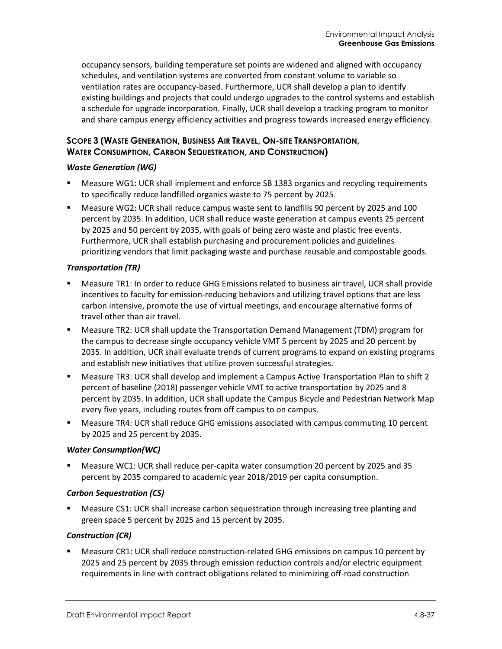occupancy sensors, building temperature set points are widened and aligned with occupancy schedules, and ventilation systems are converted from constant volume to variable so ventilation rates are occupancy-based. Furthermore, UCR shall develop a plan to identify existing buildings and projects that could undergo upgrades to the control systems and establish a schedule for upgrade incorporation. Finally, UCR shall develop a tracking program to monitor and share campus energy efficiency activities and progress towards increased energy efficiency.

### **SCOPE 3 (WASTE GENERATION, BUSINESS AIR TRAVEL, ON-SITE TRANSPORTATION, WATER CONSUMPTION, CARBON SEQUESTRATION, AND CONSTRUCTION)**

#### *Waste Generation (WG)*

- Measure WG1: UCR shall implement and enforce SB 1383 organics and recycling requirements to specifically reduce landfilled organics waste to 75 percent by 2025.
- Measure WG2: UCR shall reduce campus waste sent to landfills 90 percent by 2025 and 100 percent by 2035. In addition, UCR shall reduce waste generation at campus events 25 percent by 2025 and 50 percent by 2035, with goals of being zero waste and plastic free events. Furthermore, UCR shall establish purchasing and procurement policies and guidelines prioritizing vendors that limit packaging waste and purchase reusable and compostable goods.

#### *Transportation (TR)*

- Measure TR1: In order to reduce GHG Emissions related to business air travel, UCR shall provide incentives to faculty for emission-reducing behaviors and utilizing travel options that are less carbon intensive, promote the use of virtual meetings, and encourage alternative forms of travel other than air travel.
- Measure TR2: UCR shall update the Transportation Demand Management (TDM) program for the campus to decrease single occupancy vehicle VMT 5 percent by 2025 and 20 percent by 2035. In addition, UCR shall evaluate trends of current programs to expand on existing programs and establish new initiatives that utilize proven successful strategies.
- Measure TR3: UCR shall develop and implement a Campus Active Transportation Plan to shift 2 percent of baseline (2018) passenger vehicle VMT to active transportation by 2025 and 8 percent by 2035. In addition, UCR shall update the Campus Bicycle and Pedestrian Network Map every five years, including routes from off campus to on campus.
- Measure TR4: UCR shall reduce GHG emissions associated with campus commuting 10 percent by 2025 and 25 percent by 2035.

#### *Water Consumption(WC)*

 Measure WC1: UCR shall reduce per-capita water consumption 20 percent by 2025 and 35 percent by 2035 compared to academic year 2018/2019 per capita consumption.

#### *Carbon Sequestration (CS)*

 Measure CS1: UCR shall increase carbon sequestration through increasing tree planting and green space 5 percent by 2025 and 15 percent by 2035.

### *Construction (CR)*

 Measure CR1: UCR shall reduce construction-related GHG emissions on campus 10 percent by 2025 and 25 percent by 2035 through emission reduction controls and/or electric equipment requirements in line with contract obligations related to minimizing off-road construction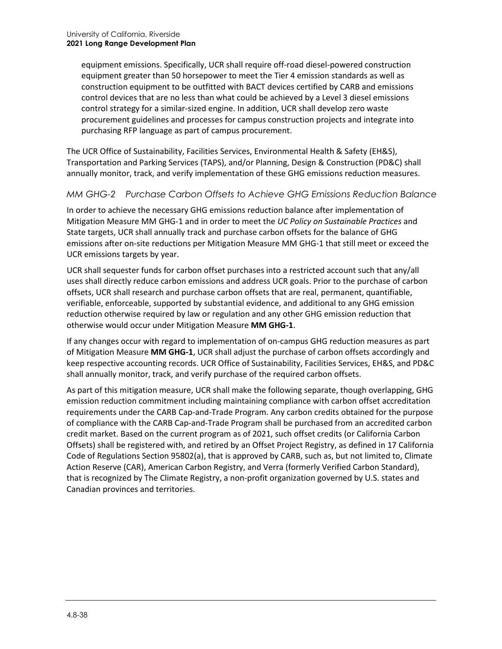equipment emissions. Specifically, UCR shall require off-road diesel-powered construction equipment greater than 50 horsepower to meet the Tier 4 emission standards as well as construction equipment to be outfitted with BACT devices certified by CARB and emissions control devices that are no less than what could be achieved by a Level 3 diesel emissions control strategy for a similar-sized engine. In addition, UCR shall develop zero waste procurement guidelines and processes for campus construction projects and integrate into purchasing RFP language as part of campus procurement.

The UCR Office of Sustainability, Facilities Services, Environmental Health & Safety (EH&S), Transportation and Parking Services (TAPS), and/or Planning, Design & Construction (PD&C) shall annually monitor, track, and verify implementation of these GHG emissions reduction measures.

### *MM GHG-2 Purchase Carbon Offsets to Achieve GHG Emissions Reduction Balance*

In order to achieve the necessary GHG emissions reduction balance after implementation of Mitigation Measure MM GHG-1 and in order to meet the *UC Policy on Sustainable Practices* and State targets, UCR shall annually track and purchase carbon offsets for the balance of GHG emissions after on-site reductions per Mitigation Measure MM GHG-1 that still meet or exceed the UCR emissions targets by year.

UCR shall sequester funds for carbon offset purchases into a restricted account such that any/all uses shall directly reduce carbon emissions and address UCR goals. Prior to the purchase of carbon offsets, UCR shall research and purchase carbon offsets that are real, permanent, quantifiable, verifiable, enforceable, supported by substantial evidence, and additional to any GHG emission reduction otherwise required by law or regulation and any other GHG emission reduction that otherwise would occur under Mitigation Measure **MM GHG-1**.

If any changes occur with regard to implementation of on-campus GHG reduction measures as part of Mitigation Measure **MM GHG-1**, UCR shall adjust the purchase of carbon offsets accordingly and keep respective accounting records. UCR Office of Sustainability, Facilities Services, EH&S, and PD&C shall annually monitor, track, and verify purchase of the required carbon offsets.

As part of this mitigation measure, UCR shall make the following separate, though overlapping, GHG emission reduction commitment including maintaining compliance with carbon offset accreditation requirements under the CARB Cap-and-Trade Program. Any carbon credits obtained for the purpose of compliance with the CARB Cap-and-Trade Program shall be purchased from an accredited carbon credit market. Based on the current program as of 2021, such offset credits (or California Carbon Offsets) shall be registered with, and retired by an Offset Project Registry, as defined in 17 California Code of Regulations Section 95802(a), that is approved by CARB, such as, but not limited to, Climate Action Reserve (CAR), American Carbon Registry, and Verra (formerly Verified Carbon Standard), that is recognized by The Climate Registry, a non-profit organization governed by U.S. states and Canadian provinces and territories.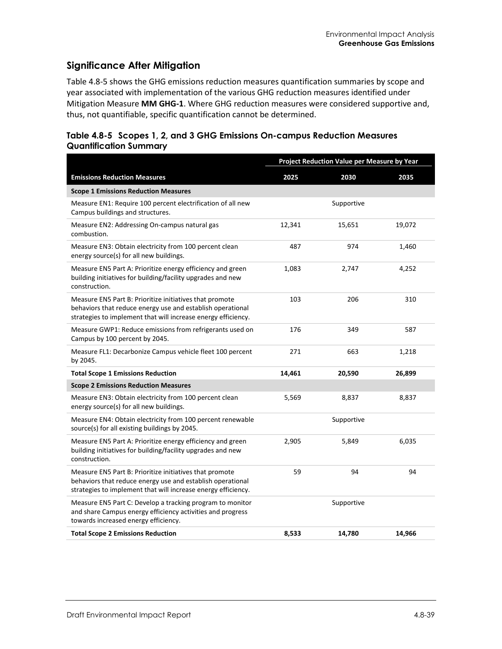### **Significance After Mitigation**

[Table 4.8-5](#page-38-0) shows the GHG emissions reduction measures quantification summaries by scope and year associated with implementation of the various GHG reduction measures identified under Mitigation Measure **MM GHG-1**. Where GHG reduction measures were considered supportive and, thus, not quantifiable, specific quantification cannot be determined.

#### <span id="page-38-0"></span>**Table 4.8-5 Scopes 1, 2, and 3 GHG Emissions On-campus Reduction Measures Quantification Summary**

|                                                                                                                                                                                        | Project Reduction Value per Measure by Year |            |        |
|----------------------------------------------------------------------------------------------------------------------------------------------------------------------------------------|---------------------------------------------|------------|--------|
| <b>Emissions Reduction Measures</b>                                                                                                                                                    | 2025                                        | 2030       | 2035   |
| <b>Scope 1 Emissions Reduction Measures</b>                                                                                                                                            |                                             |            |        |
| Measure EN1: Require 100 percent electrification of all new<br>Campus buildings and structures.                                                                                        |                                             | Supportive |        |
| Measure EN2: Addressing On-campus natural gas<br>combustion.                                                                                                                           | 12,341                                      | 15,651     | 19,072 |
| Measure EN3: Obtain electricity from 100 percent clean<br>energy source(s) for all new buildings.                                                                                      | 487                                         | 974        | 1,460  |
| Measure EN5 Part A: Prioritize energy efficiency and green<br>building initiatives for building/facility upgrades and new<br>construction.                                             | 1,083                                       | 2,747      | 4,252  |
| Measure EN5 Part B: Prioritize initiatives that promote<br>behaviors that reduce energy use and establish operational<br>strategies to implement that will increase energy efficiency. | 103                                         | 206        | 310    |
| Measure GWP1: Reduce emissions from refrigerants used on<br>Campus by 100 percent by 2045.                                                                                             | 176                                         | 349        | 587    |
| Measure FL1: Decarbonize Campus vehicle fleet 100 percent<br>by 2045.                                                                                                                  | 271                                         | 663        | 1,218  |
| <b>Total Scope 1 Emissions Reduction</b>                                                                                                                                               | 14,461                                      | 20,590     | 26,899 |
| <b>Scope 2 Emissions Reduction Measures</b>                                                                                                                                            |                                             |            |        |
| Measure EN3: Obtain electricity from 100 percent clean<br>energy source(s) for all new buildings.                                                                                      | 5,569                                       | 8,837      | 8,837  |
| Measure EN4: Obtain electricity from 100 percent renewable<br>source(s) for all existing buildings by 2045.                                                                            |                                             | Supportive |        |
| Measure EN5 Part A: Prioritize energy efficiency and green<br>building initiatives for building/facility upgrades and new<br>construction.                                             | 2,905                                       | 5,849      | 6,035  |
| Measure EN5 Part B: Prioritize initiatives that promote<br>behaviors that reduce energy use and establish operational<br>strategies to implement that will increase energy efficiency. | 59                                          | 94         | 94     |
| Measure EN5 Part C: Develop a tracking program to monitor<br>and share Campus energy efficiency activities and progress<br>towards increased energy efficiency.                        |                                             | Supportive |        |
| <b>Total Scope 2 Emissions Reduction</b>                                                                                                                                               | 8,533                                       | 14,780     | 14,966 |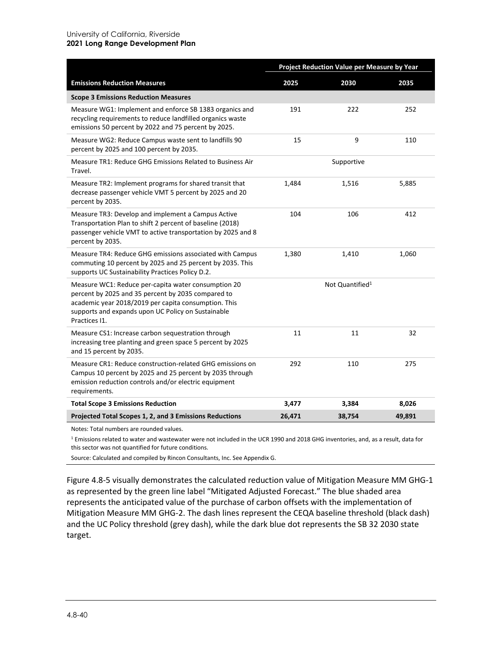#### University of California, Riverside **2021 Long Range Development Plan**

|                                                                                                                                                                                                                                          | Project Reduction Value per Measure by Year |                             |        |
|------------------------------------------------------------------------------------------------------------------------------------------------------------------------------------------------------------------------------------------|---------------------------------------------|-----------------------------|--------|
| <b>Emissions Reduction Measures</b>                                                                                                                                                                                                      | 2025                                        | 2030                        | 2035   |
| <b>Scope 3 Emissions Reduction Measures</b>                                                                                                                                                                                              |                                             |                             |        |
| Measure WG1: Implement and enforce SB 1383 organics and<br>recycling requirements to reduce landfilled organics waste<br>emissions 50 percent by 2022 and 75 percent by 2025.                                                            | 191                                         | 222                         | 252    |
| Measure WG2: Reduce Campus waste sent to landfills 90<br>percent by 2025 and 100 percent by 2035.                                                                                                                                        | 15                                          | 9                           | 110    |
| Measure TR1: Reduce GHG Emissions Related to Business Air<br>Travel.                                                                                                                                                                     |                                             | Supportive                  |        |
| Measure TR2: Implement programs for shared transit that<br>decrease passenger vehicle VMT 5 percent by 2025 and 20<br>percent by 2035.                                                                                                   | 1,484                                       | 1,516                       | 5,885  |
| Measure TR3: Develop and implement a Campus Active<br>Transportation Plan to shift 2 percent of baseline (2018)<br>passenger vehicle VMT to active transportation by 2025 and 8<br>percent by 2035.                                      | 104                                         | 106                         | 412    |
| Measure TR4: Reduce GHG emissions associated with Campus<br>commuting 10 percent by 2025 and 25 percent by 2035. This<br>supports UC Sustainability Practices Policy D.2.                                                                | 1,380                                       | 1,410                       | 1,060  |
| Measure WC1: Reduce per-capita water consumption 20<br>percent by 2025 and 35 percent by 2035 compared to<br>academic year 2018/2019 per capita consumption. This<br>supports and expands upon UC Policy on Sustainable<br>Practices I1. |                                             | Not Quantified <sup>1</sup> |        |
| Measure CS1: Increase carbon sequestration through<br>increasing tree planting and green space 5 percent by 2025<br>and 15 percent by 2035.                                                                                              | 11                                          | 11                          | 32     |
| Measure CR1: Reduce construction-related GHG emissions on<br>Campus 10 percent by 2025 and 25 percent by 2035 through<br>emission reduction controls and/or electric equipment<br>requirements.                                          | 292                                         | 110                         | 275    |
| <b>Total Scope 3 Emissions Reduction</b>                                                                                                                                                                                                 | 3,477                                       | 3,384                       | 8,026  |
| Projected Total Scopes 1, 2, and 3 Emissions Reductions                                                                                                                                                                                  | 26,471                                      | 38,754                      | 49,891 |

Notes: Total numbers are rounded values.

<sup>1</sup> Emissions related to water and wastewater were not included in the UCR 1990 and 2018 GHG inventories, and, as a result, data for this sector was not quantified for future conditions.

Source: Calculated and compiled by Rincon Consultants, Inc. See Appendix G.

[Figure 4.8-5](#page-40-0) visually demonstrates the calculated reduction value of Mitigation Measure MM GHG-1 as represented by the green line label "Mitigated Adjusted Forecast." The blue shaded area represents the anticipated value of the purchase of carbon offsets with the implementation of Mitigation Measure MM GHG-2. The dash lines represent the CEQA baseline threshold (black dash) and the UC Policy threshold (grey dash), while the dark blue dot represents the SB 32 2030 state target.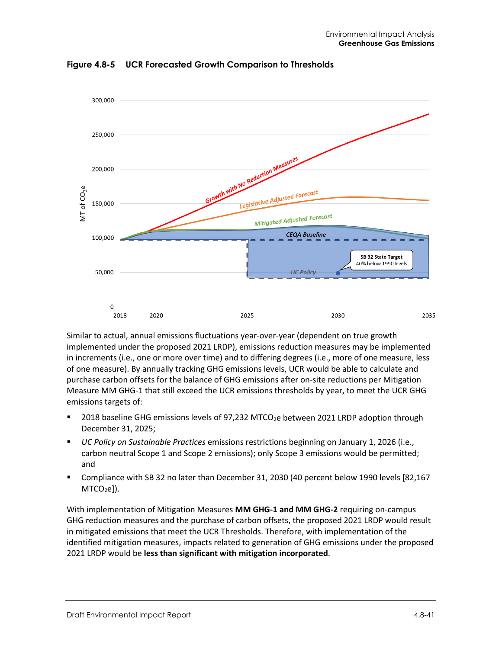

<span id="page-40-0"></span>**Figure 4.8-5 UCR Forecasted Growth Comparison to Thresholds**

Similar to actual, annual emissions fluctuations year-over-year (dependent on true growth implemented under the proposed 2021 LRDP), emissions reduction measures may be implemented in increments (i.e., one or more over time) and to differing degrees (i.e., more of one measure, less of one measure). By annually tracking GHG emissions levels, UCR would be able to calculate and purchase carbon offsets for the balance of GHG emissions after on-site reductions per Mitigation Measure MM GHG-1 that still exceed the UCR emissions thresholds by year, to meet the UCR GHG emissions targets of:

- $\blacksquare$  2018 baseline GHG emissions levels of 97,232 MTCO<sub>2</sub>e between 2021 LRDP adoption through December 31, 2025;
- *UC Policy on Sustainable Practices* emissions restrictions beginning on January 1, 2026 (i.e., carbon neutral Scope 1 and Scope 2 emissions); only Scope 3 emissions would be permitted; and
- Compliance with SB 32 no later than December 31, 2030 (40 percent below 1990 levels [82,167  $MTCO<sub>2</sub>e$ ]).

With implementation of Mitigation Measures **MM GHG-1 and MM GHG-2** requiring on-campus GHG reduction measures and the purchase of carbon offsets, the proposed 2021 LRDP would result in mitigated emissions that meet the UCR Thresholds. Therefore, with implementation of the identified mitigation measures, impacts related to generation of GHG emissions under the proposed 2021 LRDP would be **less than significant with mitigation incorporated**.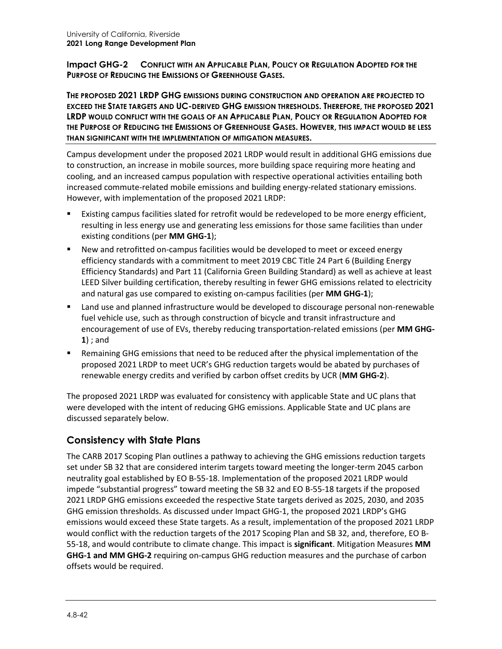**Impact GHG-2 CONFLICT WITH AN APPLICABLE PLAN, POLICY OR REGULATION ADOPTED FOR THE PURPOSE OF REDUCING THE EMISSIONS OF GREENHOUSE GASES.**

**THE PROPOSED 2021 LRDP GHG EMISSIONS DURING CONSTRUCTION AND OPERATION ARE PROJECTED TO EXCEED THE STATE TARGETS AND UC-DERIVED GHG EMISSION THRESHOLDS. THEREFORE, THE PROPOSED 2021 LRDP WOULD CONFLICT WITH THE GOALS OF AN APPLICABLE PLAN, POLICY OR REGULATION ADOPTED FOR THE PURPOSE OF REDUCING THE EMISSIONS OF GREENHOUSE GASES. HOWEVER, THIS IMPACT WOULD BE LESS THAN SIGNIFICANT WITH THE IMPLEMENTATION OF MITIGATION MEASURES.**

Campus development under the proposed 2021 LRDP would result in additional GHG emissions due to construction, an increase in mobile sources, more building space requiring more heating and cooling, and an increased campus population with respective operational activities entailing both increased commute-related mobile emissions and building energy-related stationary emissions. However, with implementation of the proposed 2021 LRDP:

- Existing campus facilities slated for retrofit would be redeveloped to be more energy efficient, resulting in less energy use and generating less emissions for those same facilities than under existing conditions (per **MM GHG-1**);
- New and retrofitted on-campus facilities would be developed to meet or exceed energy efficiency standards with a commitment to meet 2019 CBC Title 24 Part 6 (Building Energy Efficiency Standards) and Part 11 (California Green Building Standard) as well as achieve at least LEED Silver building certification, thereby resulting in fewer GHG emissions related to electricity and natural gas use compared to existing on-campus facilities (per **MM GHG-1**);
- Land use and planned infrastructure would be developed to discourage personal non-renewable fuel vehicle use, such as through construction of bicycle and transit infrastructure and encouragement of use of EVs, thereby reducing transportation-related emissions (per **MM GHG-1**) ; and
- Remaining GHG emissions that need to be reduced after the physical implementation of the proposed 2021 LRDP to meet UCR's GHG reduction targets would be abated by purchases of renewable energy credits and verified by carbon offset credits by UCR (**MM GHG-2**).

The proposed 2021 LRDP was evaluated for consistency with applicable State and UC plans that were developed with the intent of reducing GHG emissions. Applicable State and UC plans are discussed separately below.

### **Consistency with State Plans**

The CARB 2017 Scoping Plan outlines a pathway to achieving the GHG emissions reduction targets set under SB 32 that are considered interim targets toward meeting the longer-term 2045 carbon neutrality goal established by EO B-55-18. Implementation of the proposed 2021 LRDP would impede "substantial progress" toward meeting the SB 32 and EO B-55-18 targets if the proposed 2021 LRDP GHG emissions exceeded the respective State targets derived as 2025, 2030, and 2035 GHG emission thresholds. As discussed under Impact GHG-1, the proposed 2021 LRDP's GHG emissions would exceed these State targets. As a result, implementation of the proposed 2021 LRDP would conflict with the reduction targets of the 2017 Scoping Plan and SB 32, and, therefore, EO B-55-18, and would contribute to climate change. This impact is **significant**. Mitigation Measures **MM GHG-1 and MM GHG-2** requiring on-campus GHG reduction measures and the purchase of carbon offsets would be required.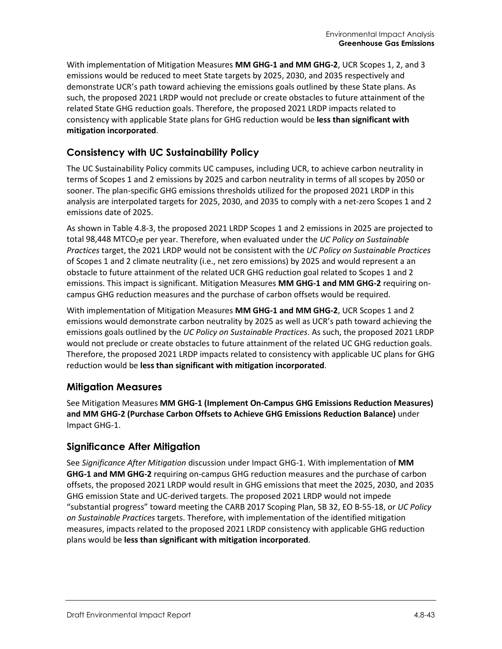With implementation of Mitigation Measures **MM GHG-1 and MM GHG-2**, UCR Scopes 1, 2, and 3 emissions would be reduced to meet State targets by 2025, 2030, and 2035 respectively and demonstrate UCR's path toward achieving the emissions goals outlined by these State plans. As such, the proposed 2021 LRDP would not preclude or create obstacles to future attainment of the related State GHG reduction goals. Therefore, the proposed 2021 LRDP impacts related to consistency with applicable State plans for GHG reduction would be **less than significant with mitigation incorporated**.

### **Consistency with UC Sustainability Policy**

The UC Sustainability Policy commits UC campuses, including UCR, to achieve carbon neutrality in terms of Scopes 1 and 2 emissions by 2025 and carbon neutrality in terms of all scopes by 2050 or sooner. The plan-specific GHG emissions thresholds utilized for the proposed 2021 LRDP in this analysis are interpolated targets for 2025, 2030, and 2035 to comply with a net-zero Scopes 1 and 2 emissions date of 2025.

As shown in [Table 4.8-3,](#page-33-0) the proposed 2021 LRDP Scopes 1 and 2 emissions in 2025 are projected to total 98,448 MTCO<sub>2</sub>e per year. Therefore, when evaluated under the *UC Policy on Sustainable Practices* target, the 2021 LRDP would not be consistent with the *UC Policy on Sustainable Practices* of Scopes 1 and 2 climate neutrality (i.e., net zero emissions) by 2025 and would represent a an obstacle to future attainment of the related UCR GHG reduction goal related to Scopes 1 and 2 emissions. This impact is significant. Mitigation Measures **MM GHG-1 and MM GHG-2** requiring oncampus GHG reduction measures and the purchase of carbon offsets would be required.

With implementation of Mitigation Measures **MM GHG-1 and MM GHG-2**, UCR Scopes 1 and 2 emissions would demonstrate carbon neutrality by 2025 as well as UCR's path toward achieving the emissions goals outlined by the *UC Policy on Sustainable Practices*. As such, the proposed 2021 LRDP would not preclude or create obstacles to future attainment of the related UC GHG reduction goals. Therefore, the proposed 2021 LRDP impacts related to consistency with applicable UC plans for GHG reduction would be **less than significant with mitigation incorporated**.

### **Mitigation Measures**

See Mitigation Measures **MM GHG-1 (Implement On-Campus GHG Emissions Reduction Measures) and MM GHG-2 (Purchase Carbon Offsets to Achieve GHG Emissions Reduction Balance)** under Impact GHG-1.

### **Significance After Mitigation**

See *Significance After Mitigation* discussion under Impact GHG-1. With implementation of **MM GHG-1 and MM GHG-2** requiring on-campus GHG reduction measures and the purchase of carbon offsets, the proposed 2021 LRDP would result in GHG emissions that meet the 2025, 2030, and 2035 GHG emission State and UC-derived targets. The proposed 2021 LRDP would not impede "substantial progress" toward meeting the CARB 2017 Scoping Plan, SB 32, EO B-55-18, or *UC Policy on Sustainable Practices* targets. Therefore, with implementation of the identified mitigation measures, impacts related to the proposed 2021 LRDP consistency with applicable GHG reduction plans would be **less than significant with mitigation incorporated**.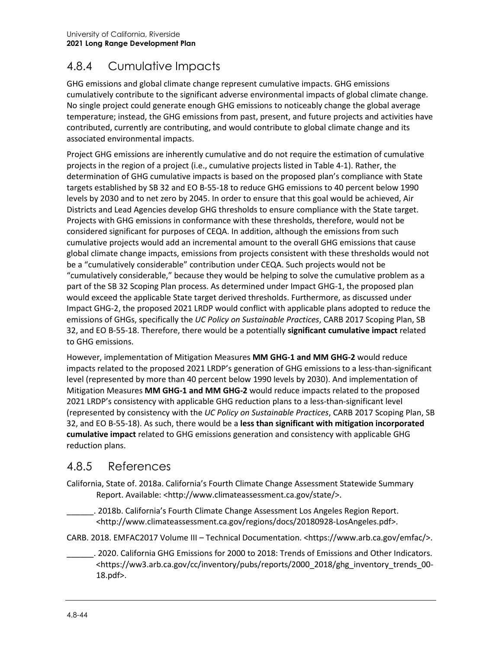# 4.8.4 Cumulative Impacts

GHG emissions and global climate change represent cumulative impacts. GHG emissions cumulatively contribute to the significant adverse environmental impacts of global climate change. No single project could generate enough GHG emissions to noticeably change the global average temperature; instead, the GHG emissions from past, present, and future projects and activities have contributed, currently are contributing, and would contribute to global climate change and its associated environmental impacts.

Project GHG emissions are inherently cumulative and do not require the estimation of cumulative projects in the region of a project (i.e., cumulative projects listed in Table 4-1). Rather, the determination of GHG cumulative impacts is based on the proposed plan's compliance with State targets established by SB 32 and EO B-55-18 to reduce GHG emissions to 40 percent below 1990 levels by 2030 and to net zero by 2045. In order to ensure that this goal would be achieved, Air Districts and Lead Agencies develop GHG thresholds to ensure compliance with the State target. Projects with GHG emissions in conformance with these thresholds, therefore, would not be considered significant for purposes of CEQA. In addition, although the emissions from such cumulative projects would add an incremental amount to the overall GHG emissions that cause global climate change impacts, emissions from projects consistent with these thresholds would not be a "cumulatively considerable" contribution under CEQA. Such projects would not be "cumulatively considerable," because they would be helping to solve the cumulative problem as a part of the SB 32 Scoping Plan process. As determined under Impact GHG-1, the proposed plan would exceed the applicable State target derived thresholds. Furthermore, as discussed under Impact GHG-2, the proposed 2021 LRDP would conflict with applicable plans adopted to reduce the emissions of GHGs, specifically the *UC Policy on Sustainable Practices*, CARB 2017 Scoping Plan, SB 32, and EO B-55-18. Therefore, there would be a potentially **significant cumulative impact** related to GHG emissions.

However, implementation of Mitigation Measures **MM GHG-1 and MM GHG-2** would reduce impacts related to the proposed 2021 LRDP's generation of GHG emissions to a less-than-significant level (represented by more than 40 percent below 1990 levels by 2030). And implementation of Mitigation Measures **MM GHG-1 and MM GHG-2** would reduce impacts related to the proposed 2021 LRDP's consistency with applicable GHG reduction plans to a less-than-significant level (represented by consistency with the *UC Policy on Sustainable Practices*, CARB 2017 Scoping Plan, SB 32, and EO B-55-18). As such, there would be a **less than significant with mitigation incorporated cumulative impact** related to GHG emissions generation and consistency with applicable GHG reduction plans.

## 4.8.5 References

- California, State of. 2018a. California's Fourth Climate Change Assessment Statewide Summary Report. Available: <http://www.climateassessment.ca.gov/state/>.
	- \_\_\_\_\_\_. 2018b. California's Fourth Climate Change Assessment Los Angeles Region Report. <http://www.climateassessment.ca.gov/regions/docs/20180928-LosAngeles.pdf>.
- CARB. 2018. EMFAC2017 Volume III Technical Documentation. <https://www.arb.ca.gov/emfac/>.
	- \_\_\_\_\_\_. 2020. California GHG Emissions for 2000 to 2018: Trends of Emissions and Other Indicators. <https://ww3.arb.ca.gov/cc/inventory/pubs/reports/2000\_2018/ghg\_inventory\_trends\_00- 18.pdf>.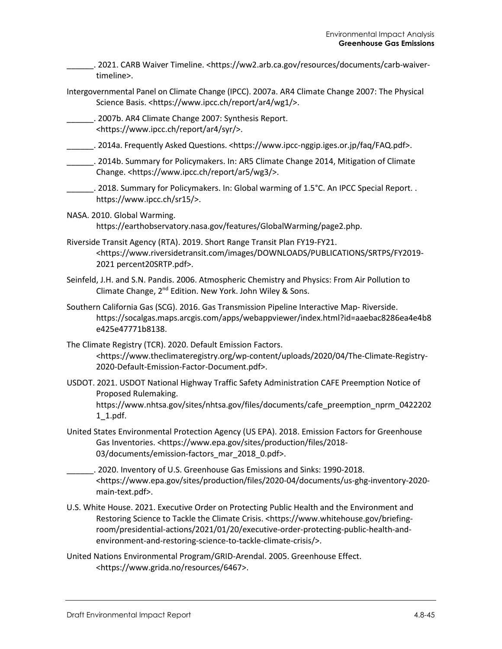\_\_\_\_\_\_. 2021. CARB Waiver Timeline. [<https://ww2.arb.ca.gov/resources/documents/carb-waiver](https://ww2.arb.ca.gov/resources/documents/carb-waiver-timeline)[timeline>](https://ww2.arb.ca.gov/resources/documents/carb-waiver-timeline).

- Intergovernmental Panel on Climate Change (IPCC). 2007a. AR4 Climate Change 2007: The Physical Science Basis. <https://www.ipcc.ch/report/ar4/wg1/>.
	- \_\_\_\_\_\_. 2007b. AR4 Climate Change 2007: Synthesis Report. <https://www.ipcc.ch/report/ar4/syr/>.
- \_\_\_\_\_\_. 2014a. Frequently Asked Questions. <https://www.ipcc-nggip.iges.or.jp/faq/FAQ.pdf>.
- \_\_\_\_\_\_. 2014b. Summary for Policymakers. In: AR5 Climate Change 2014, Mitigation of Climate Change. <https://www.ipcc.ch/report/ar5/wg3/>.
- \_\_\_\_\_\_. 2018. Summary for Policymakers. In: Global warming of 1.5°C. An IPCC Special Report. . https://www.ipcc.ch/sr15/>.
- NASA. 2010. Global Warming. https://earthobservatory.nasa.gov/features/GlobalWarming/page2.php.
- Riverside Transit Agency (RTA). 2019. Short Range Transit Plan FY19-FY21. <https://www.riversidetransit.com/images/DOWNLOADS/PUBLICATIONS/SRTPS/FY2019- 2021 percent20SRTP.pdf>.
- Seinfeld, J.H. and S.N. Pandis. 2006. Atmospheric Chemistry and Physics: From Air Pollution to Climate Change, 2nd Edition. New York. John Wiley & Sons.
- Southern California Gas (SCG). 2016. Gas Transmission Pipeline Interactive Map- Riverside. [https://socalgas.maps.arcgis.com/apps/webappviewer/index.html?id=aaebac8286ea4e4b8](https://socalgas.maps.arcgis.com/apps/webappviewer/index.html?id=aaebac8286ea4e4b8e425e47771b8138) [e425e47771b8138.](https://socalgas.maps.arcgis.com/apps/webappviewer/index.html?id=aaebac8286ea4e4b8e425e47771b8138)
- The Climate Registry (TCR). 2020. Default Emission Factors. <https://www.theclimateregistry.org/wp-content/uploads/2020/04/The-Climate-Registry-2020-Default-Emission-Factor-Document.pdf>.
- USDOT. 2021. USDOT National Highway Traffic Safety Administration CAFE Preemption Notice of Proposed Rulemaking. [https://www.nhtsa.gov/sites/nhtsa.gov/files/documents/cafe\\_preemption\\_nprm\\_0422202](https://www.nhtsa.gov/sites/nhtsa.gov/files/documents/cafe_preemption_nprm_04222021_1.pdf) [1\\_1.pdf.](https://www.nhtsa.gov/sites/nhtsa.gov/files/documents/cafe_preemption_nprm_04222021_1.pdf)
- United States Environmental Protection Agency (US EPA). 2018. Emission Factors for Greenhouse Gas Inventories. <https://www.epa.gov/sites/production/files/2018- 03/documents/emission-factors\_mar\_2018\_0.pdf>.
	- \_\_\_\_\_\_. 2020. Inventory of U.S. Greenhouse Gas Emissions and Sinks: 1990-2018. <https://www.epa.gov/sites/production/files/2020-04/documents/us-ghg-inventory-2020 main-text.pdf>.
- U.S. White House. 2021. Executive Order on Protecting Public Health and the Environment and Restoring Science to Tackle the Climate Crisis. [<https://www.whitehouse.gov/briefing](https://www.whitehouse.gov/briefing-room/presidential-actions/2021/01/20/executive-order-protecting-public-health-and-environment-and-restoring-science-to-tackle-climate-crisis/)[room/presidential-actions/2021/01/20/executive-order-protecting-public-health-and](https://www.whitehouse.gov/briefing-room/presidential-actions/2021/01/20/executive-order-protecting-public-health-and-environment-and-restoring-science-to-tackle-climate-crisis/)[environment-and-restoring-science-to-tackle-climate-crisis/>](https://www.whitehouse.gov/briefing-room/presidential-actions/2021/01/20/executive-order-protecting-public-health-and-environment-and-restoring-science-to-tackle-climate-crisis/).
- United Nations Environmental Program/GRID-Arendal. 2005. Greenhouse Effect. <https://www.grida.no/resources/6467>.